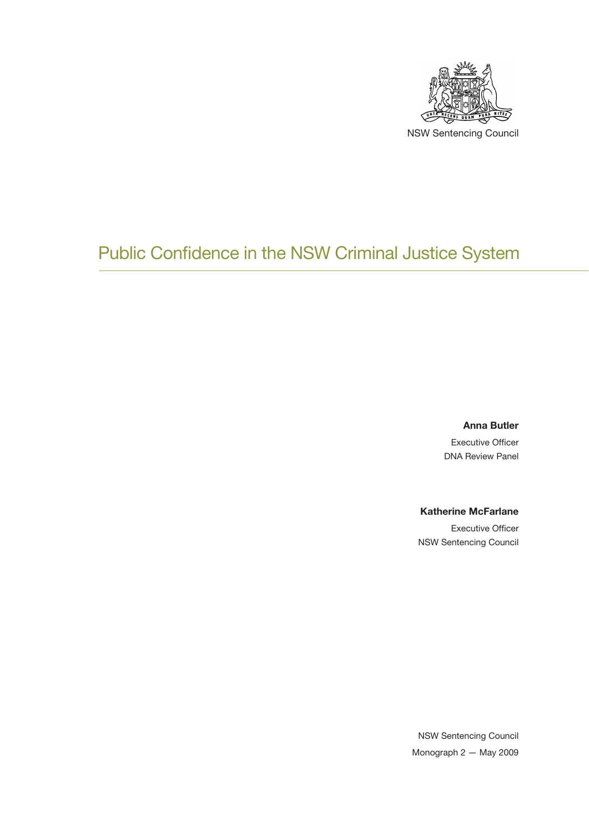

## Public Confidence in the NSW Criminal Justice System

**Anna Butler**

Executive Officer DNA Review Panel

#### **Katherine McFarlane**

Executive Officer NSW Sentencing Council

NSW Sentencing Council Monograph 2 — May 2009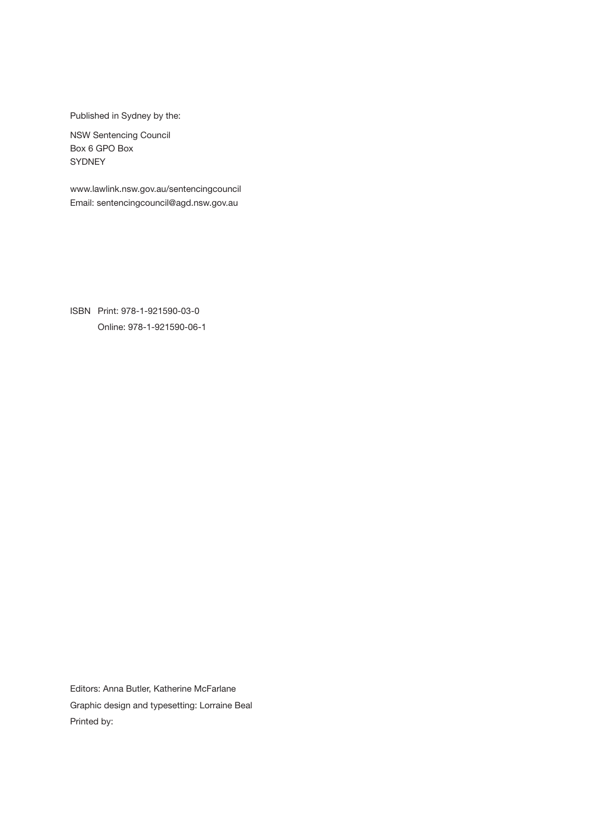Published in Sydney by the:

NSW Sentencing Council Box 6 GPO Box **SYDNEY** 

www.lawlink.nsw.gov.au/sentencingcouncil Email: sentencingcouncil@agd.nsw.gov.au

ISBN Print: 978-1-921590-03-0 Online: 978-1-921590-06-1

Editors: Anna Butler, Katherine McFarlane Graphic design and typesetting: Lorraine Beal Printed by: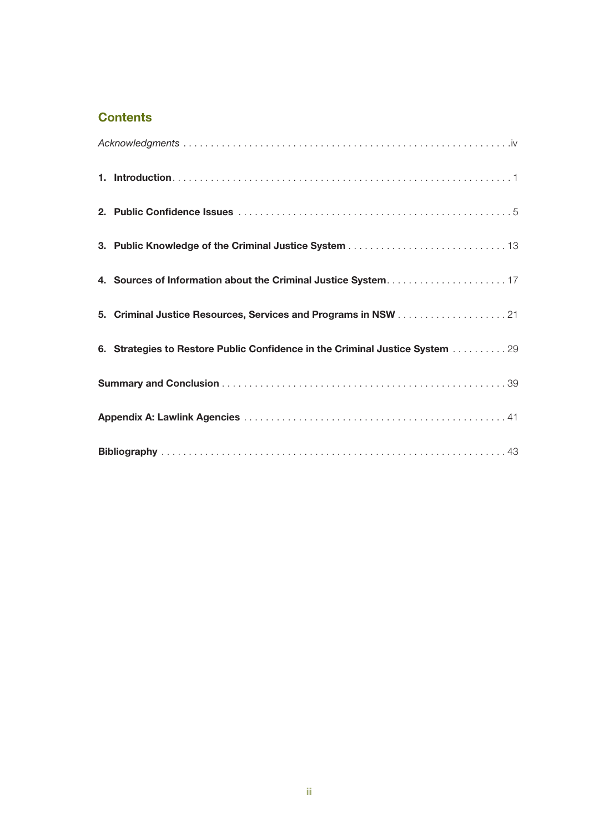## **Contents**

|  | 4. Sources of Information about the Criminal Justice System17                |
|--|------------------------------------------------------------------------------|
|  |                                                                              |
|  | 6. Strategies to Restore Public Confidence in the Criminal Justice System 29 |
|  |                                                                              |
|  |                                                                              |
|  |                                                                              |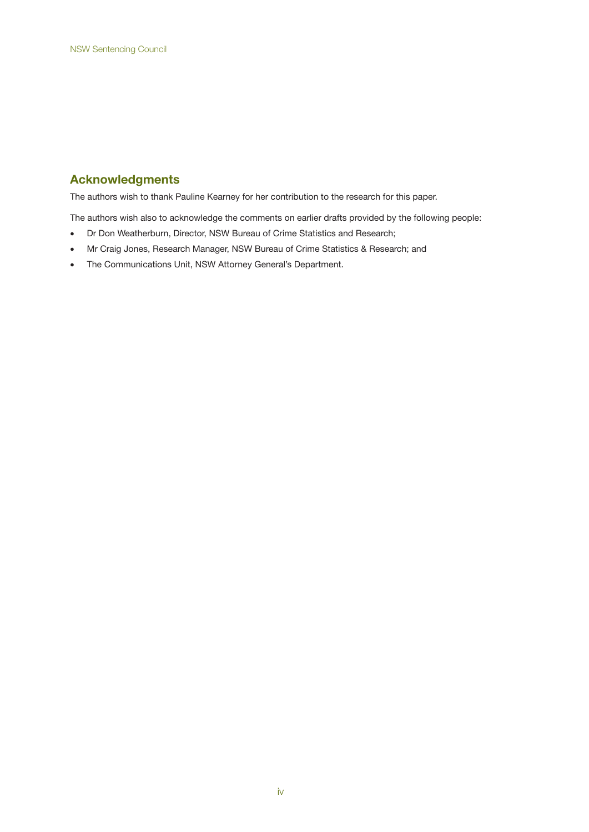## **Acknowledgments**

The authors wish to thank Pauline Kearney for her contribution to the research for this paper.

The authors wish also to acknowledge the comments on earlier drafts provided by the following people:

- Dr Don Weatherburn, Director, NSW Bureau of Crime Statistics and Research;
- Mr Craig Jones, Research Manager, NSW Bureau of Crime Statistics & Research; and
- The Communications Unit, NSW Attorney General's Department.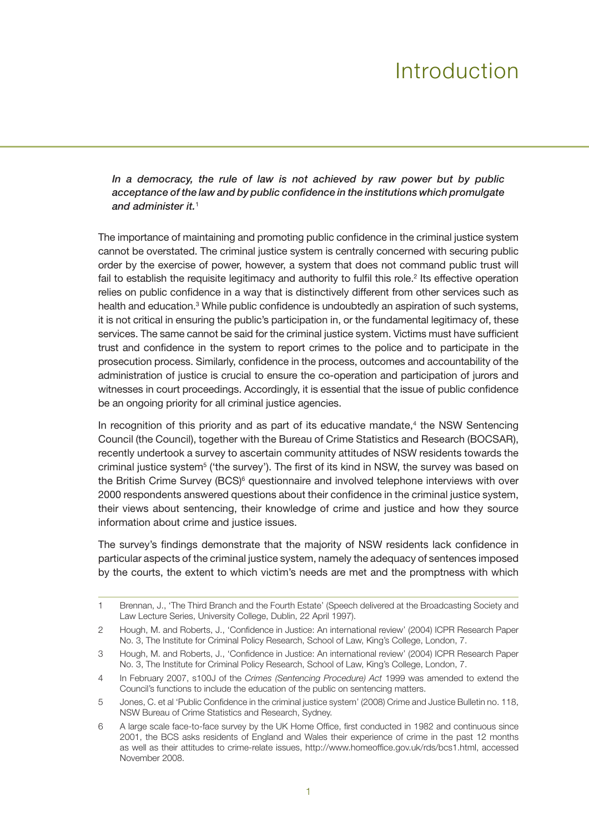# Introduction

*In a democracy, the rule of law is not achieved by raw power but by public acceptance of the law and by public confidence in the institutions which promulgate and administer it.*<sup>1</sup>

The importance of maintaining and promoting public confidence in the criminal justice system cannot be overstated. The criminal justice system is centrally concerned with securing public order by the exercise of power, however, a system that does not command public trust will fail to establish the requisite legitimacy and authority to fulfil this role.<sup>2</sup> Its effective operation relies on public confidence in a way that is distinctively different from other services such as health and education.<sup>3</sup> While public confidence is undoubtedly an aspiration of such systems, it is not critical in ensuring the public's participation in, or the fundamental legitimacy of, these services. The same cannot be said for the criminal justice system. Victims must have sufficient trust and confidence in the system to report crimes to the police and to participate in the prosecution process. Similarly, confidence in the process, outcomes and accountability of the administration of justice is crucial to ensure the co-operation and participation of jurors and witnesses in court proceedings. Accordingly, it is essential that the issue of public confidence be an ongoing priority for all criminal justice agencies.

In recognition of this priority and as part of its educative mandate,<sup>4</sup> the NSW Sentencing Council (the Council), together with the Bureau of Crime Statistics and Research (BOCSAR), recently undertook a survey to ascertain community attitudes of NSW residents towards the criminal justice system<sup>5</sup> ('the survey'). The first of its kind in NSW, the survey was based on the British Crime Survey (BCS)<sup>6</sup> questionnaire and involved telephone interviews with over 2000 respondents answered questions about their confidence in the criminal justice system, their views about sentencing, their knowledge of crime and justice and how they source information about crime and justice issues.

The survey's findings demonstrate that the majority of NSW residents lack confidence in particular aspects of the criminal justice system, namely the adequacy of sentences imposed by the courts, the extent to which victim's needs are met and the promptness with which

<sup>1</sup> Brennan, J., 'The Third Branch and the Fourth Estate' (Speech delivered at the Broadcasting Society and Law Lecture Series, University College, Dublin, 22 April 1997).

<sup>2</sup> Hough, M. and Roberts, J., 'Confidence in Justice: An international review' (2004) ICPR Research Paper No. 3, The Institute for Criminal Policy Research, School of Law, King's College, London, 7.

<sup>3</sup> Hough, M. and Roberts, J., 'Confidence in Justice: An international review' (2004) ICPR Research Paper No. 3, The Institute for Criminal Policy Research, School of Law, King's College, London, 7.

<sup>4</sup> In February 2007, s100J of the *Crimes (Sentencing Procedure) Act* 1999 was amended to extend the Council's functions to include the education of the public on sentencing matters.

<sup>5</sup> Jones, C. et al 'Public Confidence in the criminal justice system' (2008) Crime and Justice Bulletin no. 118, NSW Bureau of Crime Statistics and Research, Sydney.

<sup>6</sup> A large scale face-to-face survey by the UK Home Office, first conducted in 1982 and continuous since 2001, the BCS asks residents of England and Wales their experience of crime in the past 12 months as well as their attitudes to crime-relate issues, http://www.homeoffice.gov.uk/rds/bcs1.html, accessed November 2008.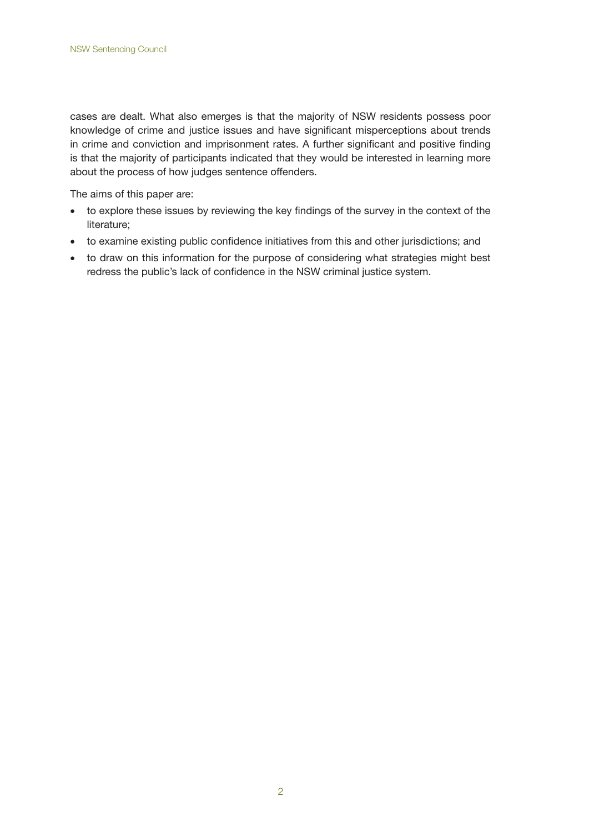cases are dealt. What also emerges is that the majority of NSW residents possess poor knowledge of crime and justice issues and have significant misperceptions about trends in crime and conviction and imprisonment rates. A further significant and positive finding is that the majority of participants indicated that they would be interested in learning more about the process of how judges sentence offenders.

The aims of this paper are:

- to explore these issues by reviewing the key findings of the survey in the context of the literature;
- • to examine existing public confidence initiatives from this and other jurisdictions; and
- to draw on this information for the purpose of considering what strategies might best redress the public's lack of confidence in the NSW criminal justice system.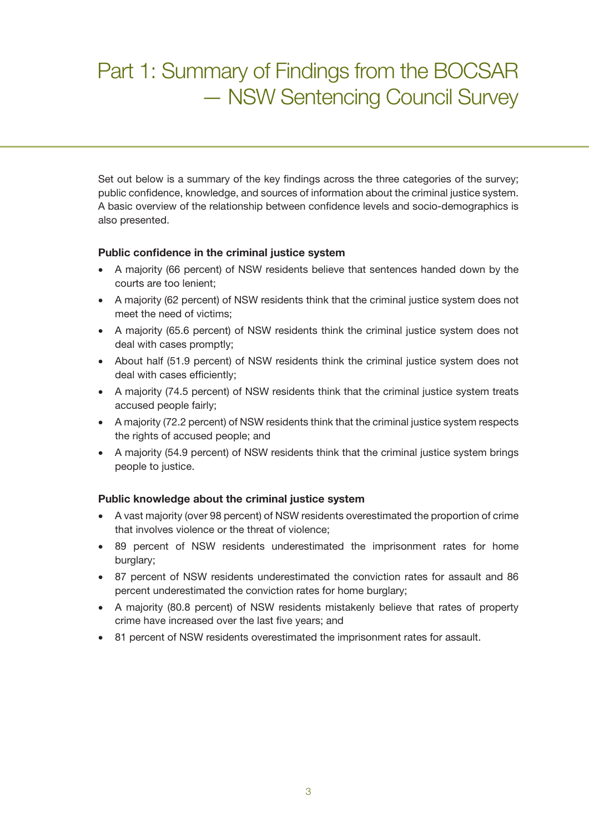# Part 1: Summary of Findings from the BOCSAR — NSW Sentencing Council Survey

Set out below is a summary of the key findings across the three categories of the survey; public confidence, knowledge, and sources of information about the criminal justice system. A basic overview of the relationship between confidence levels and socio-demographics is also presented.

#### **Public confidence in the criminal justice system**

- A majority (66 percent) of NSW residents believe that sentences handed down by the courts are too lenient;
- A majority (62 percent) of NSW residents think that the criminal justice system does not meet the need of victims;
- A majority (65.6 percent) of NSW residents think the criminal justice system does not deal with cases promptly;
- About half (51.9 percent) of NSW residents think the criminal justice system does not deal with cases efficiently;
- A majority (74.5 percent) of NSW residents think that the criminal justice system treats accused people fairly;
- • A majority (72.2 percent) of NSW residents think that the criminal justice system respects the rights of accused people; and
- A majority (54.9 percent) of NSW residents think that the criminal justice system brings people to justice.

#### **Public knowledge about the criminal justice system**

- • A vast majority (over 98 percent) of NSW residents overestimated the proportion of crime that involves violence or the threat of violence;
- 89 percent of NSW residents underestimated the imprisonment rates for home burglary;
- • 87 percent of NSW residents underestimated the conviction rates for assault and 86 percent underestimated the conviction rates for home burglary;
- A majority (80.8 percent) of NSW residents mistakenly believe that rates of property crime have increased over the last five years; and
- 81 percent of NSW residents overestimated the imprisonment rates for assault.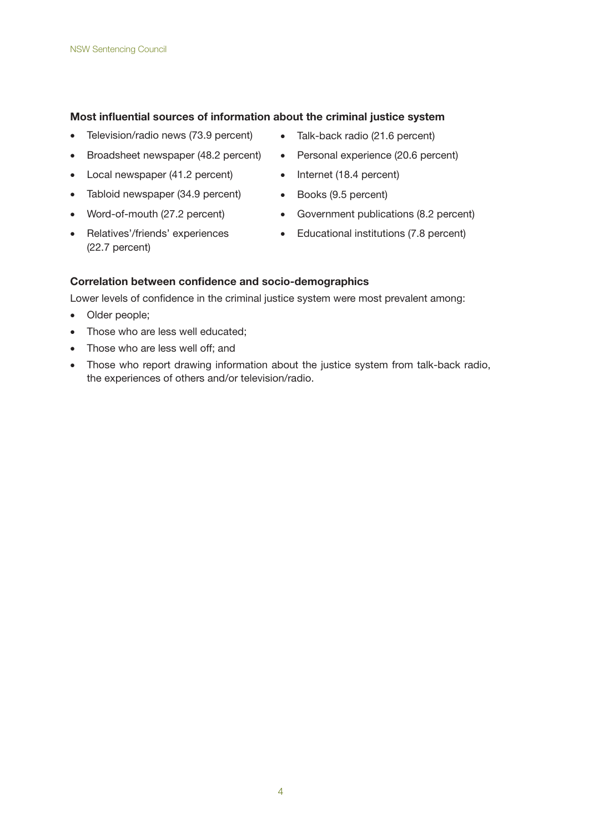#### **Most influential sources of information about the criminal justice system**

- Television/radio news (73.9 percent) Talk-back radio (21.6 percent)
- Broadsheet newspaper (48.2 percent) Personal experience (20.6 percent)
- Local newspaper (41.2 percent) Internet (18.4 percent)
- Tabloid newspaper (34.9 percent) Books (9.5 percent)
- 
- • Relatives'/friends' experiences (22.7 percent)
- 
- 
- 
- 
- Word-of-mouth (27.2 percent) Government publications (8.2 percent)
	- • Educational institutions (7.8 percent)

#### **Correlation between confidence and socio-demographics**

Lower levels of confidence in the criminal justice system were most prevalent among:

- Older people;
- Those who are less well educated;
- Those who are less well off; and
- Those who report drawing information about the justice system from talk-back radio, the experiences of others and/or television/radio.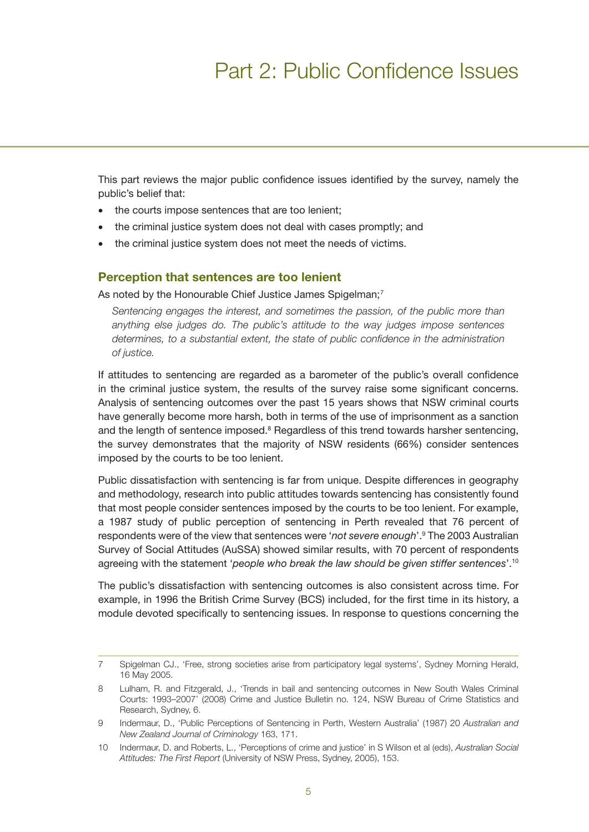## Part 2: Public Confidence Issues

This part reviews the major public confidence issues identified by the survey, namely the public's belief that:

- the courts impose sentences that are too lenient;
- the criminal justice system does not deal with cases promptly; and
- the criminal justice system does not meet the needs of victims.

#### **Perception that sentences are too lenient**

As noted by the Honourable Chief Justice James Spigelman;<sup>7</sup>

*Sentencing engages the interest, and sometimes the passion, of the public more than anything else judges do. The public's attitude to the way judges impose sentences determines, to a substantial extent, the state of public confidence in the administration of justice.*

If attitudes to sentencing are regarded as a barometer of the public's overall confidence in the criminal justice system, the results of the survey raise some significant concerns. Analysis of sentencing outcomes over the past 15 years shows that NSW criminal courts have generally become more harsh, both in terms of the use of imprisonment as a sanction and the length of sentence imposed. $8$  Regardless of this trend towards harsher sentencing, the survey demonstrates that the majority of NSW residents (66%) consider sentences imposed by the courts to be too lenient.

Public dissatisfaction with sentencing is far from unique. Despite differences in geography and methodology, research into public attitudes towards sentencing has consistently found that most people consider sentences imposed by the courts to be too lenient. For example, a 1987 study of public perception of sentencing in Perth revealed that 76 percent of respondents were of the view that sentences were '*not severe enough*'.9 The 2003 Australian Survey of Social Attitudes (AuSSA) showed similar results, with 70 percent of respondents agreeing with the statement '*people who break the law should be given stiffer sentences*'.10

The public's dissatisfaction with sentencing outcomes is also consistent across time. For example, in 1996 the British Crime Survey (BCS) included, for the first time in its history, a module devoted specifically to sentencing issues. In response to questions concerning the

<sup>7</sup> Spigelman CJ., 'Free, strong societies arise from participatory legal systems', Sydney Morning Herald, 16 May 2005.

<sup>8</sup> Lulham, R. and Fitzgerald, J., 'Trends in bail and sentencing outcomes in New South Wales Criminal Courts: 1993–2007' (2008) Crime and Justice Bulletin no. 124, NSW Bureau of Crime Statistics and Research, Sydney, 6.

<sup>9</sup> Indermaur, D., 'Public Perceptions of Sentencing in Perth, Western Australia' (1987) 20 *Australian and New Zealand Journal of Criminology* 163, 171.

<sup>10</sup> Indermaur, D. and Roberts, L., 'Perceptions of crime and justice' in S Wilson et al (eds), *Australian Social Attitudes: The First Report* (University of NSW Press, Sydney, 2005), 153.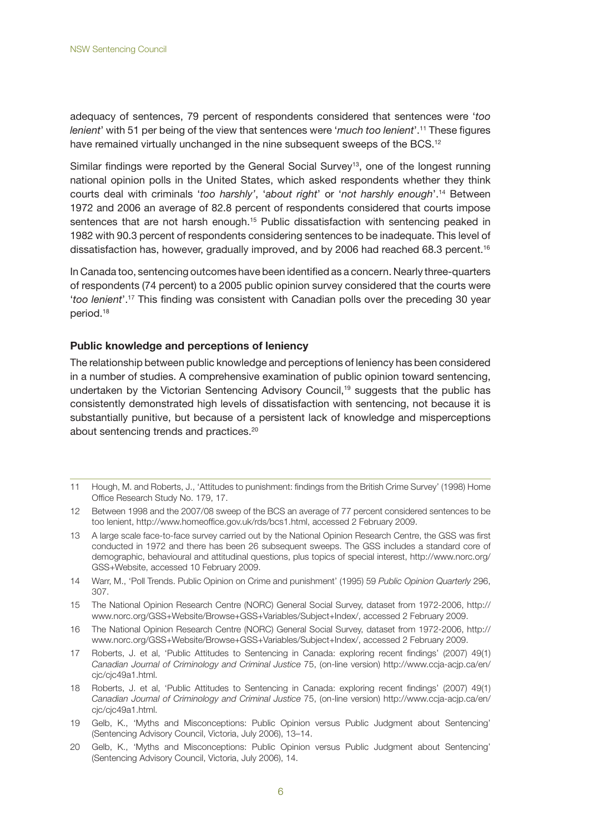adequacy of sentences, 79 percent of respondents considered that sentences were '*too lenient*' with 51 per being of the view that sentences were '*much too lenient*'.11 These figures have remained virtually unchanged in the nine subsequent sweeps of the BCS.<sup>12</sup>

Similar findings were reported by the General Social Survey<sup>13</sup>, one of the longest running national opinion polls in the United States, which asked respondents whether they think courts deal with criminals '*too harshly'*, '*about right*' or '*not harshly enough*'.14 Between 1972 and 2006 an average of 82.8 percent of respondents considered that courts impose sentences that are not harsh enough.<sup>15</sup> Public dissatisfaction with sentencing peaked in 1982 with 90.3 percent of respondents considering sentences to be inadequate. This level of dissatisfaction has, however, gradually improved, and by 2006 had reached 68.3 percent.<sup>16</sup>

In Canada too, sentencing outcomes have been identified as a concern. Nearly three-quarters of respondents (74 percent) to a 2005 public opinion survey considered that the courts were '*too lenient*'.17 This finding was consistent with Canadian polls over the preceding 30 year period.18

#### **Public knowledge and perceptions of leniency**

The relationship between public knowledge and perceptions of leniency has been considered in a number of studies. A comprehensive examination of public opinion toward sentencing, undertaken by the Victorian Sentencing Advisory Council,<sup>19</sup> suggests that the public has consistently demonstrated high levels of dissatisfaction with sentencing, not because it is substantially punitive, but because of a persistent lack of knowledge and misperceptions about sentencing trends and practices.20

- 14 Warr, M., 'Poll Trends. Public Opinion on Crime and punishment' (1995) 59 *Public Opinion Quarterly* 296, 307.
- 15 The National Opinion Research Centre (NORC) General Social Survey, dataset from 1972-2006, http:// www.norc.org/GSS+Website/Browse+GSS+Variables/Subject+Index/, accessed 2 February 2009.
- 16 The National Opinion Research Centre (NORC) General Social Survey, dataset from 1972-2006, http:// www.norc.org/GSS+Website/Browse+GSS+Variables/Subject+Index/, accessed 2 February 2009.
- 17 Roberts, J. et al, 'Public Attitudes to Sentencing in Canada: exploring recent findings' (2007) 49(1) *Canadian Journal of Criminology and Criminal Justice* 75, (on-line version) http://www.ccja-acjp.ca/en/ cjc/cjc49a1.html.
- 18 Roberts, J. et al, 'Public Attitudes to Sentencing in Canada: exploring recent findings' (2007) 49(1) *Canadian Journal of Criminology and Criminal Justice* 75, (on-line version) http://www.ccja-acjp.ca/en/ cjc/cjc49a1.html.
- 19 Gelb, K., 'Myths and Misconceptions: Public Opinion versus Public Judgment about Sentencing' (Sentencing Advisory Council, Victoria, July 2006), 13–14.
- 20 Gelb, K., 'Myths and Misconceptions: Public Opinion versus Public Judgment about Sentencing' (Sentencing Advisory Council, Victoria, July 2006), 14.

<sup>11</sup> Hough, M. and Roberts, J., 'Attitudes to punishment: findings from the British Crime Survey' (1998) Home Office Research Study No. 179, 17.

<sup>12</sup> Between 1998 and the 2007/08 sweep of the BCS an average of 77 percent considered sentences to be too lenient, http://www.homeoffice.gov.uk/rds/bcs1.html, accessed 2 February 2009.

<sup>13</sup> A large scale face-to-face survey carried out by the National Opinion Research Centre, the GSS was first conducted in 1972 and there has been 26 subsequent sweeps. The GSS includes a standard core of demographic, behavioural and attitudinal questions, plus topics of special interest, http://www.norc.org/ GSS+Website, accessed 10 February 2009.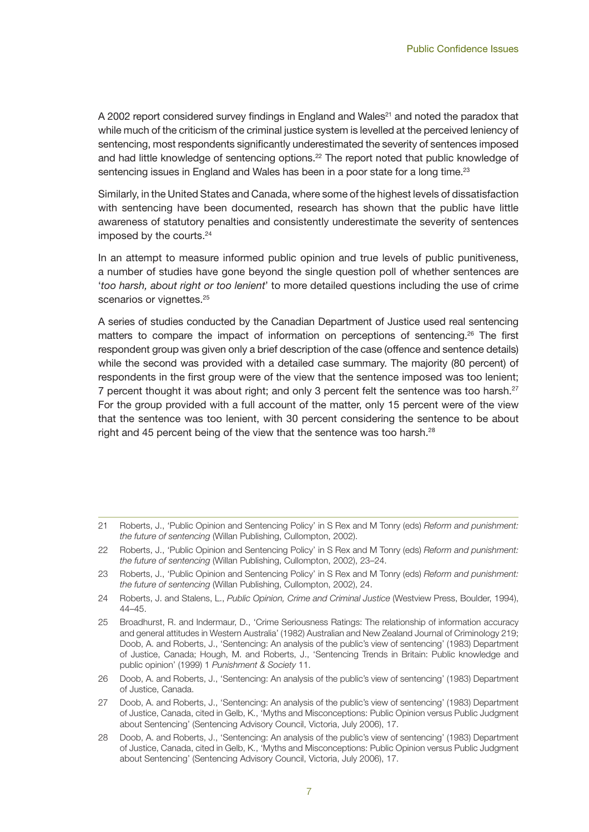A 2002 report considered survey findings in England and Wales<sup>21</sup> and noted the paradox that while much of the criticism of the criminal justice system is levelled at the perceived leniency of sentencing, most respondents significantly underestimated the severity of sentences imposed and had little knowledge of sentencing options.<sup>22</sup> The report noted that public knowledge of sentencing issues in England and Wales has been in a poor state for a long time.<sup>23</sup>

Similarly, in the United States and Canada, where some of the highest levels of dissatisfaction with sentencing have been documented, research has shown that the public have little awareness of statutory penalties and consistently underestimate the severity of sentences imposed by the courts.24

In an attempt to measure informed public opinion and true levels of public punitiveness, a number of studies have gone beyond the single question poll of whether sentences are '*too harsh, about right or too lenient*' to more detailed questions including the use of crime scenarios or vignettes.<sup>25</sup>

A series of studies conducted by the Canadian Department of Justice used real sentencing matters to compare the impact of information on perceptions of sentencing.26 The first respondent group was given only a brief description of the case (offence and sentence details) while the second was provided with a detailed case summary. The majority (80 percent) of respondents in the first group were of the view that the sentence imposed was too lenient; 7 percent thought it was about right; and only 3 percent felt the sentence was too harsh.<sup>27</sup> For the group provided with a full account of the matter, only 15 percent were of the view that the sentence was too lenient, with 30 percent considering the sentence to be about right and 45 percent being of the view that the sentence was too harsh.28

26 Doob, A. and Roberts, J., 'Sentencing: An analysis of the public's view of sentencing' (1983) Department of Justice, Canada.

<sup>21</sup> Roberts, J., 'Public Opinion and Sentencing Policy' in S Rex and M Tonry (eds) *Reform and punishment: the future of sentencing* (Willan Publishing, Cullompton, 2002).

<sup>22</sup> Roberts, J., 'Public Opinion and Sentencing Policy' in S Rex and M Tonry (eds) *Reform and punishment: the future of sentencing* (Willan Publishing, Cullompton, 2002), 23–24.

<sup>23</sup> Roberts, J., 'Public Opinion and Sentencing Policy' in S Rex and M Tonry (eds) *Reform and punishment: the future of sentencing* (Willan Publishing, Cullompton, 2002), 24.

<sup>24</sup> Roberts, J. and Stalens, L., *Public Opinion, Crime and Criminal Justice* (Westview Press, Boulder, 1994), 44–45.

<sup>25</sup> Broadhurst, R. and Indermaur, D., 'Crime Seriousness Ratings: The relationship of information accuracy and general attitudes in Western Australia' (1982) Australian and New Zealand Journal of Criminology 219; Doob, A. and Roberts, J., 'Sentencing: An analysis of the public's view of sentencing' (1983) Department of Justice, Canada; Hough, M. and Roberts, J., 'Sentencing Trends in Britain: Public knowledge and public opinion' (1999) 1 *Punishment & Society* 11.

<sup>27</sup> Doob, A. and Roberts, J., 'Sentencing: An analysis of the public's view of sentencing' (1983) Department of Justice, Canada, cited in Gelb, K., 'Myths and Misconceptions: Public Opinion versus Public Judgment about Sentencing' (Sentencing Advisory Council, Victoria, July 2006), 17.

<sup>28</sup> Doob, A. and Roberts, J., 'Sentencing: An analysis of the public's view of sentencing' (1983) Department of Justice, Canada, cited in Gelb, K., 'Myths and Misconceptions: Public Opinion versus Public Judgment about Sentencing' (Sentencing Advisory Council, Victoria, July 2006), 17.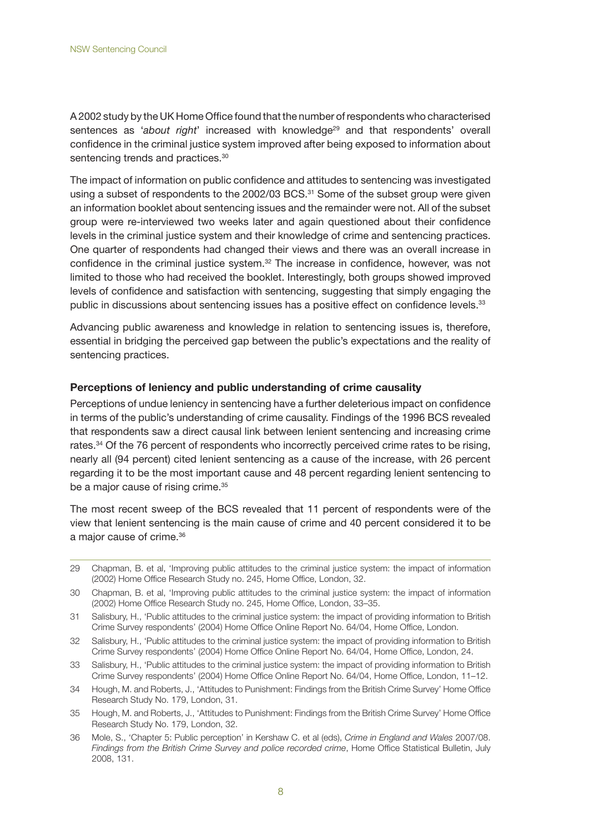A 2002 study by the UK Home Office found that the number of respondents who characterised sentences as '*about right*' increased with knowledge<sup>29</sup> and that respondents' overall confidence in the criminal justice system improved after being exposed to information about sentencing trends and practices.<sup>30</sup>

The impact of information on public confidence and attitudes to sentencing was investigated using a subset of respondents to the 2002/03 BCS.<sup>31</sup> Some of the subset group were given an information booklet about sentencing issues and the remainder were not. All of the subset group were re-interviewed two weeks later and again questioned about their confidence levels in the criminal justice system and their knowledge of crime and sentencing practices. One quarter of respondents had changed their views and there was an overall increase in confidence in the criminal justice system.32 The increase in confidence, however, was not limited to those who had received the booklet. Interestingly, both groups showed improved levels of confidence and satisfaction with sentencing, suggesting that simply engaging the public in discussions about sentencing issues has a positive effect on confidence levels.<sup>33</sup>

Advancing public awareness and knowledge in relation to sentencing issues is, therefore, essential in bridging the perceived gap between the public's expectations and the reality of sentencing practices.

#### **Perceptions of leniency and public understanding of crime causality**

Perceptions of undue leniency in sentencing have a further deleterious impact on confidence in terms of the public's understanding of crime causality. Findings of the 1996 BCS revealed that respondents saw a direct causal link between lenient sentencing and increasing crime rates.<sup>34</sup> Of the 76 percent of respondents who incorrectly perceived crime rates to be rising, nearly all (94 percent) cited lenient sentencing as a cause of the increase, with 26 percent regarding it to be the most important cause and 48 percent regarding lenient sentencing to be a major cause of rising crime.<sup>35</sup>

The most recent sweep of the BCS revealed that 11 percent of respondents were of the view that lenient sentencing is the main cause of crime and 40 percent considered it to be a major cause of crime.36

29 Chapman, B. et al, 'Improving public attitudes to the criminal justice system: the impact of information (2002) Home Office Research Study no. 245, Home Office, London, 32.

- 31 Salisbury, H., 'Public attitudes to the criminal justice system: the impact of providing information to British Crime Survey respondents' (2004) Home Office Online Report No. 64/04, Home Office, London.
- 32 Salisbury, H., 'Public attitudes to the criminal justice system: the impact of providing information to British Crime Survey respondents' (2004) Home Office Online Report No. 64/04, Home Office, London, 24.
- 33 Salisbury, H., 'Public attitudes to the criminal justice system: the impact of providing information to British Crime Survey respondents' (2004) Home Office Online Report No. 64/04, Home Office, London, 11–12.
- 34 Hough, M. and Roberts, J., 'Attitudes to Punishment: Findings from the British Crime Survey' Home Office Research Study No. 179, London, 31.
- 35 Hough, M. and Roberts, J., 'Attitudes to Punishment: Findings from the British Crime Survey' Home Office Research Study No. 179, London, 32.
- 36 Mole, S., 'Chapter 5: Public perception' in Kershaw C. et al (eds), *Crime in England and Wales* 2007/08. *Findings from the British Crime Survey and police recorded crime*, Home Office Statistical Bulletin, July 2008, 131.

<sup>30</sup> Chapman, B. et al, 'Improving public attitudes to the criminal justice system: the impact of information (2002) Home Office Research Study no. 245, Home Office, London, 33–35.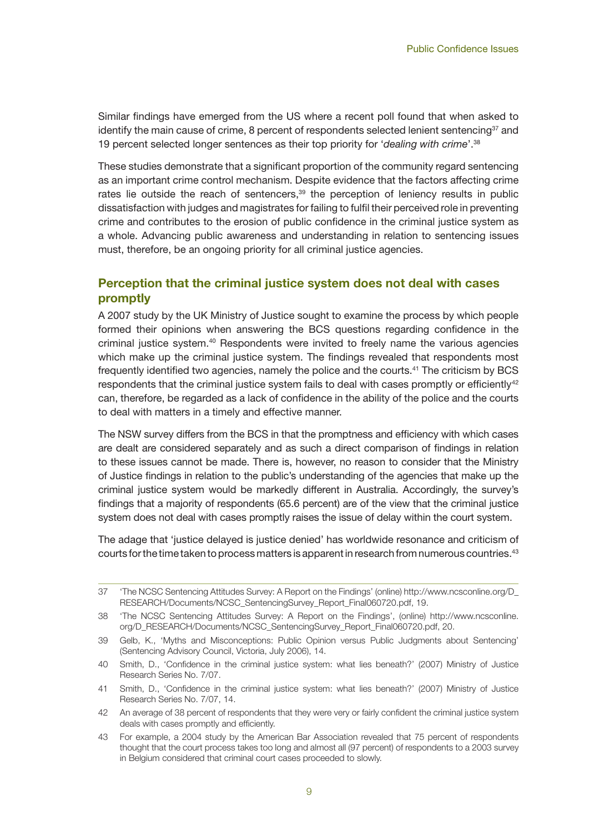Similar findings have emerged from the US where a recent poll found that when asked to identify the main cause of crime, 8 percent of respondents selected lenient sentencing<sup>37</sup> and 19 percent selected longer sentences as their top priority for '*dealing with crime*'.38

These studies demonstrate that a significant proportion of the community regard sentencing as an important crime control mechanism. Despite evidence that the factors affecting crime rates lie outside the reach of sentencers, $39$  the perception of leniency results in public dissatisfaction with judges and magistrates for failing to fulfil their perceived role in preventing crime and contributes to the erosion of public confidence in the criminal justice system as a whole. Advancing public awareness and understanding in relation to sentencing issues must, therefore, be an ongoing priority for all criminal justice agencies.

## **Perception that the criminal justice system does not deal with cases promptly**

A 2007 study by the UK Ministry of Justice sought to examine the process by which people formed their opinions when answering the BCS questions regarding confidence in the criminal justice system.40 Respondents were invited to freely name the various agencies which make up the criminal justice system. The findings revealed that respondents most frequently identified two agencies, namely the police and the courts.41 The criticism by BCS respondents that the criminal justice system fails to deal with cases promptly or efficiently $42$ can, therefore, be regarded as a lack of confidence in the ability of the police and the courts to deal with matters in a timely and effective manner.

The NSW survey differs from the BCS in that the promptness and efficiency with which cases are dealt are considered separately and as such a direct comparison of findings in relation to these issues cannot be made. There is, however, no reason to consider that the Ministry of Justice findings in relation to the public's understanding of the agencies that make up the criminal justice system would be markedly different in Australia. Accordingly, the survey's findings that a majority of respondents (65.6 percent) are of the view that the criminal justice system does not deal with cases promptly raises the issue of delay within the court system.

The adage that 'justice delayed is justice denied' has worldwide resonance and criticism of courts for the time taken to process matters is apparent in research from numerous countries.43

<sup>37</sup> 'The NCSC Sentencing Attitudes Survey: A Report on the Findings' (online) http://www.ncsconline.org/D\_ RESEARCH/Documents/NCSC\_SentencingSurvey\_Report\_Final060720.pdf, 19.

<sup>38</sup> 'The NCSC Sentencing Attitudes Survey: A Report on the Findings', (online) http://www.ncsconline. org/D\_RESEARCH/Documents/NCSC\_SentencingSurvey\_Report\_Final060720.pdf, 20.

<sup>39</sup> Gelb, K., 'Myths and Misconceptions: Public Opinion versus Public Judgments about Sentencing' (Sentencing Advisory Council, Victoria, July 2006), 14.

<sup>40</sup> Smith, D., 'Confidence in the criminal justice system: what lies beneath?' (2007) Ministry of Justice Research Series No. 7/07.

<sup>41</sup> Smith, D., 'Confidence in the criminal justice system: what lies beneath?' (2007) Ministry of Justice Research Series No. 7/07, 14.

<sup>42</sup> An average of 38 percent of respondents that they were very or fairly confident the criminal justice system deals with cases promptly and efficiently.

<sup>43</sup> For example, a 2004 study by the American Bar Association revealed that 75 percent of respondents thought that the court process takes too long and almost all (97 percent) of respondents to a 2003 survey in Belgium considered that criminal court cases proceeded to slowly.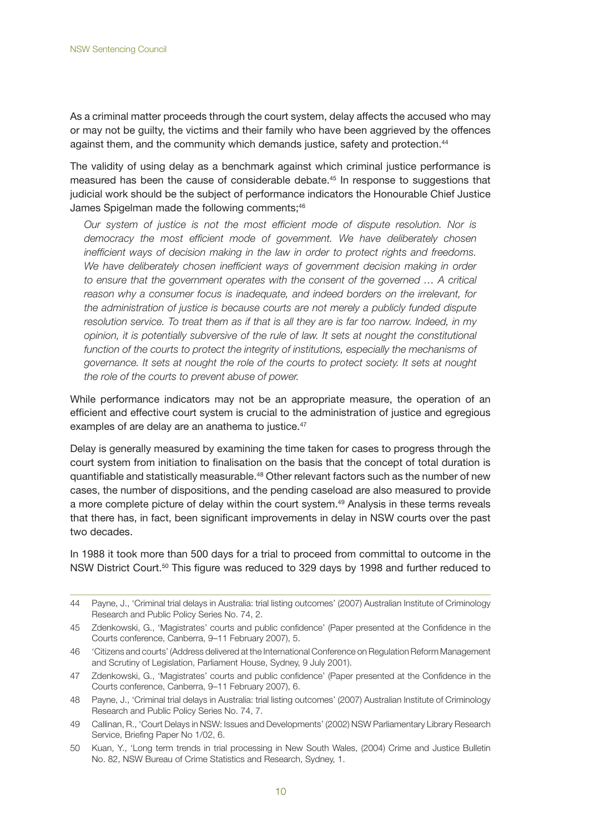As a criminal matter proceeds through the court system, delay affects the accused who may or may not be guilty, the victims and their family who have been aggrieved by the offences against them, and the community which demands justice, safety and protection.44

The validity of using delay as a benchmark against which criminal justice performance is measured has been the cause of considerable debate.<sup>45</sup> In response to suggestions that judicial work should be the subject of performance indicators the Honourable Chief Justice James Spigelman made the following comments;<sup>46</sup>

*Our system of justice is not the most efficient mode of dispute resolution. Nor is democracy the most efficient mode of government. We have deliberately chosen inefficient ways of decision making in the law in order to protect rights and freedoms.*  We have deliberately chosen inefficient ways of government decision making in order *to ensure that the government operates with the consent of the governed ... A critical reason why a consumer focus is inadequate, and indeed borders on the irrelevant, for the administration of justice is because courts are not merely a publicly funded dispute resolution service. To treat them as if that is all they are is far too narrow. Indeed, in my opinion, it is potentially subversive of the rule of law. It sets at nought the constitutional*  function of the courts to protect the integrity of institutions, especially the mechanisms of *governance. It sets at nought the role of the courts to protect society. It sets at nought the role of the courts to prevent abuse of power.* 

While performance indicators may not be an appropriate measure, the operation of an efficient and effective court system is crucial to the administration of justice and egregious examples of are delay are an anathema to justice.<sup>47</sup>

Delay is generally measured by examining the time taken for cases to progress through the court system from initiation to finalisation on the basis that the concept of total duration is quantifiable and statistically measurable.<sup>48</sup> Other relevant factors such as the number of new cases, the number of dispositions, and the pending caseload are also measured to provide a more complete picture of delay within the court system.<sup>49</sup> Analysis in these terms reveals that there has, in fact, been significant improvements in delay in NSW courts over the past two decades.

In 1988 it took more than 500 days for a trial to proceed from committal to outcome in the NSW District Court.50 This figure was reduced to 329 days by 1998 and further reduced to

<sup>44</sup> Payne, J., 'Criminal trial delays in Australia: trial listing outcomes' (2007) Australian Institute of Criminology Research and Public Policy Series No. 74, 2.

<sup>45</sup> Zdenkowski, G., 'Magistrates' courts and public confidence' (Paper presented at the Confidence in the Courts conference, Canberra, 9–11 February 2007), 5.

<sup>46</sup> 'Citizens and courts' (Address delivered at the International Conference on Regulation Reform Management and Scrutiny of Legislation, Parliament House, Sydney, 9 July 2001).

<sup>47</sup> Zdenkowski, G., 'Magistrates' courts and public confidence' (Paper presented at the Confidence in the Courts conference, Canberra, 9–11 February 2007), 6.

<sup>48</sup> Payne, J., 'Criminal trial delays in Australia: trial listing outcomes' (2007) Australian Institute of Criminology Research and Public Policy Series No. 74, 7.

<sup>49</sup> Callinan, R., 'Court Delays in NSW: Issues and Developments' (2002) NSW Parliamentary Library Research Service, Briefing Paper No 1/02, 6.

<sup>50</sup> Kuan, Y., 'Long term trends in trial processing in New South Wales, (2004) Crime and Justice Bulletin No. 82, NSW Bureau of Crime Statistics and Research, Sydney, 1.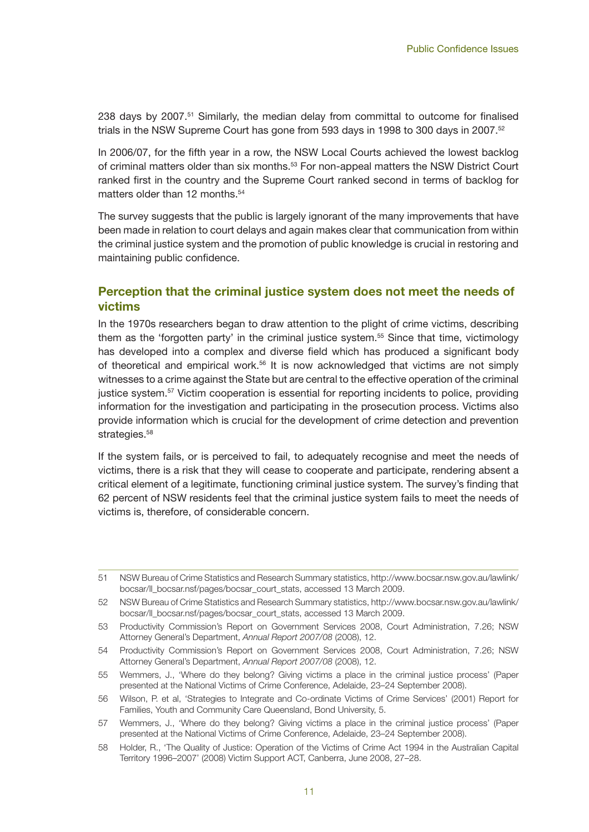238 days by 2007.<sup>51</sup> Similarly, the median delay from committal to outcome for finalised trials in the NSW Supreme Court has gone from 593 days in 1998 to 300 days in 2007.<sup>52</sup>

In 2006/07, for the fifth year in a row, the NSW Local Courts achieved the lowest backlog of criminal matters older than six months.<sup>53</sup> For non-appeal matters the NSW District Court ranked first in the country and the Supreme Court ranked second in terms of backlog for matters older than 12 months.<sup>54</sup>

The survey suggests that the public is largely ignorant of the many improvements that have been made in relation to court delays and again makes clear that communication from within the criminal justice system and the promotion of public knowledge is crucial in restoring and maintaining public confidence.

## **Perception that the criminal justice system does not meet the needs of victims**

In the 1970s researchers began to draw attention to the plight of crime victims, describing them as the 'forgotten party' in the criminal justice system.<sup>55</sup> Since that time, victimology has developed into a complex and diverse field which has produced a significant body of theoretical and empirical work.<sup>56</sup> It is now acknowledged that victims are not simply witnesses to a crime against the State but are central to the effective operation of the criminal justice system.57 Victim cooperation is essential for reporting incidents to police, providing information for the investigation and participating in the prosecution process. Victims also provide information which is crucial for the development of crime detection and prevention strategies.<sup>58</sup>

If the system fails, or is perceived to fail, to adequately recognise and meet the needs of victims, there is a risk that they will cease to cooperate and participate, rendering absent a critical element of a legitimate, functioning criminal justice system. The survey's finding that 62 percent of NSW residents feel that the criminal justice system fails to meet the needs of victims is, therefore, of considerable concern.

- 55 Wemmers, J., 'Where do they belong? Giving victims a place in the criminal justice process' (Paper presented at the National Victims of Crime Conference, Adelaide, 23–24 September 2008).
- 56 Wilson, P. et al, 'Strategies to Integrate and Co-ordinate Victims of Crime Services' (2001) Report for Families, Youth and Community Care Queensland, Bond University, 5.

58 Holder, R., 'The Quality of Justice: Operation of the Victims of Crime Act 1994 in the Australian Capital Territory 1996–2007' (2008) Victim Support ACT, Canberra, June 2008, 27–28.

<sup>51</sup> NSW Bureau of Crime Statistics and Research Summary statistics, http://www.bocsar.nsw.gov.au/lawlink/ bocsar/ll\_bocsar.nsf/pages/bocsar\_court\_stats, accessed 13 March 2009.

<sup>52</sup> NSW Bureau of Crime Statistics and Research Summary statistics, http://www.bocsar.nsw.gov.au/lawlink/ bocsar/ll\_bocsar.nsf/pages/bocsar\_court\_stats, accessed 13 March 2009.

<sup>53</sup> Productivity Commission's Report on Government Services 2008, Court Administration, 7.26; NSW Attorney General's Department, *Annual Report 2007/08* (2008), 12.

<sup>54</sup> Productivity Commission's Report on Government Services 2008, Court Administration, 7.26; NSW Attorney General's Department, *Annual Report 2007/08* (2008), 12.

<sup>57</sup> Wemmers, J., 'Where do they belong? Giving victims a place in the criminal justice process' (Paper presented at the National Victims of Crime Conference, Adelaide, 23–24 September 2008).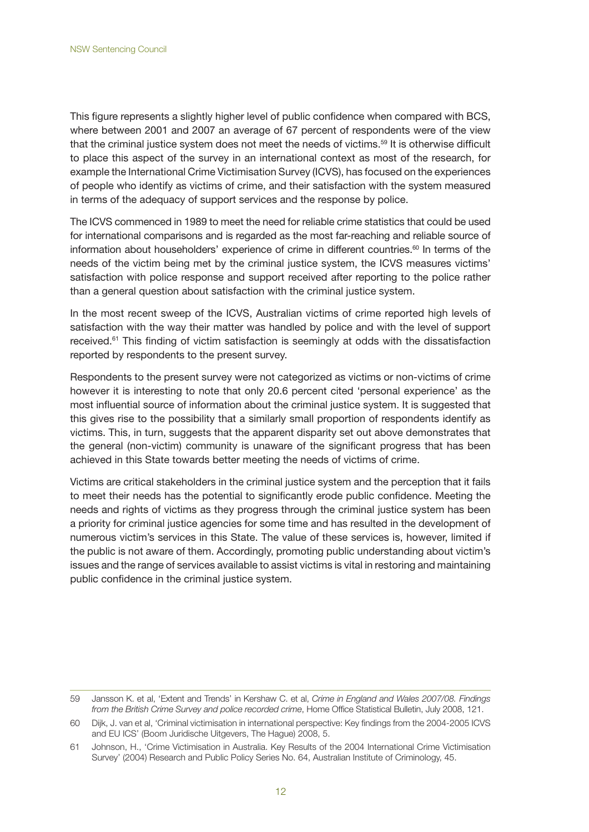This figure represents a slightly higher level of public confidence when compared with BCS, where between 2001 and 2007 an average of 67 percent of respondents were of the view that the criminal justice system does not meet the needs of victims.<sup>59</sup> It is otherwise difficult to place this aspect of the survey in an international context as most of the research, for example the International Crime Victimisation Survey (ICVS), has focused on the experiences of people who identify as victims of crime, and their satisfaction with the system measured in terms of the adequacy of support services and the response by police.

The ICVS commenced in 1989 to meet the need for reliable crime statistics that could be used for international comparisons and is regarded as the most far-reaching and reliable source of information about householders' experience of crime in different countries.<sup>60</sup> In terms of the needs of the victim being met by the criminal justice system, the ICVS measures victims' satisfaction with police response and support received after reporting to the police rather than a general question about satisfaction with the criminal justice system.

In the most recent sweep of the ICVS, Australian victims of crime reported high levels of satisfaction with the way their matter was handled by police and with the level of support received.<sup>61</sup> This finding of victim satisfaction is seemingly at odds with the dissatisfaction reported by respondents to the present survey.

Respondents to the present survey were not categorized as victims or non-victims of crime however it is interesting to note that only 20.6 percent cited 'personal experience' as the most influential source of information about the criminal justice system. It is suggested that this gives rise to the possibility that a similarly small proportion of respondents identify as victims. This, in turn, suggests that the apparent disparity set out above demonstrates that the general (non-victim) community is unaware of the significant progress that has been achieved in this State towards better meeting the needs of victims of crime.

Victims are critical stakeholders in the criminal justice system and the perception that it fails to meet their needs has the potential to significantly erode public confidence. Meeting the needs and rights of victims as they progress through the criminal justice system has been a priority for criminal justice agencies for some time and has resulted in the development of numerous victim's services in this State. The value of these services is, however, limited if the public is not aware of them. Accordingly, promoting public understanding about victim's issues and the range of services available to assist victims is vital in restoring and maintaining public confidence in the criminal justice system.

<sup>59</sup> Jansson K. et al, 'Extent and Trends' in Kershaw C. et al, *Crime in England and Wales 2007/08. Findings from the British Crime Survey and police recorded crime*, Home Office Statistical Bulletin, July 2008, 121.

<sup>60</sup> Dijk, J. van et al, 'Criminal victimisation in international perspective: Key findings from the 2004-2005 ICVS and EU ICS' (Boom Juridische Uitgevers, The Hague) 2008, 5.

<sup>61</sup> Johnson, H., 'Crime Victimisation in Australia. Key Results of the 2004 International Crime Victimisation Survey' (2004) Research and Public Policy Series No. 64, Australian Institute of Criminology, 45.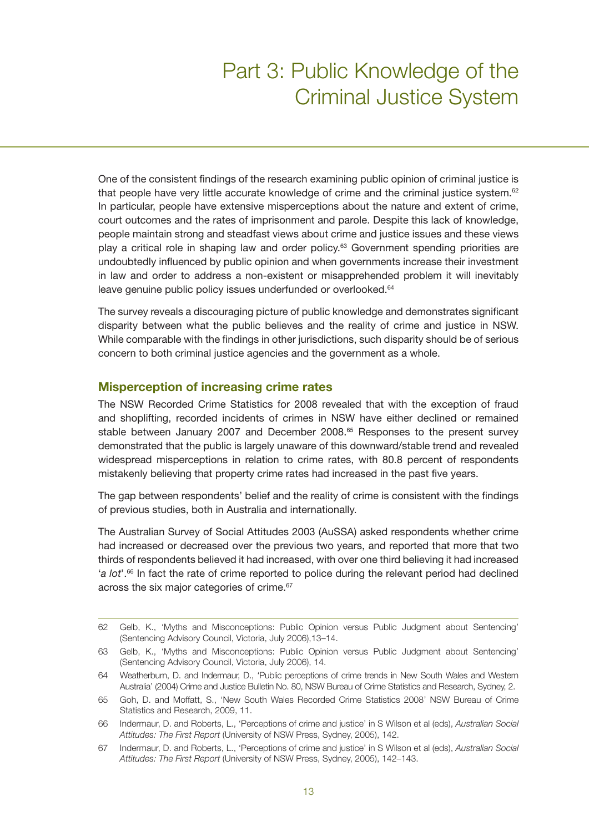## Part 3: Public Knowledge of the Criminal Justice System

One of the consistent findings of the research examining public opinion of criminal justice is that people have very little accurate knowledge of crime and the criminal justice system.<sup>62</sup> In particular, people have extensive misperceptions about the nature and extent of crime, court outcomes and the rates of imprisonment and parole. Despite this lack of knowledge, people maintain strong and steadfast views about crime and justice issues and these views play a critical role in shaping law and order policy.<sup>63</sup> Government spending priorities are undoubtedly influenced by public opinion and when governments increase their investment in law and order to address a non-existent or misapprehended problem it will inevitably leave genuine public policy issues underfunded or overlooked.<sup>64</sup>

The survey reveals a discouraging picture of public knowledge and demonstrates significant disparity between what the public believes and the reality of crime and justice in NSW. While comparable with the findings in other jurisdictions, such disparity should be of serious concern to both criminal justice agencies and the government as a whole.

#### **Misperception of increasing crime rates**

The NSW Recorded Crime Statistics for 2008 revealed that with the exception of fraud and shoplifting, recorded incidents of crimes in NSW have either declined or remained stable between January 2007 and December 2008.<sup>65</sup> Responses to the present survey demonstrated that the public is largely unaware of this downward/stable trend and revealed widespread misperceptions in relation to crime rates, with 80.8 percent of respondents mistakenly believing that property crime rates had increased in the past five years.

The gap between respondents' belief and the reality of crime is consistent with the findings of previous studies, both in Australia and internationally.

The Australian Survey of Social Attitudes 2003 (AuSSA) asked respondents whether crime had increased or decreased over the previous two years, and reported that more that two thirds of respondents believed it had increased, with over one third believing it had increased '*a lot*'.66 In fact the rate of crime reported to police during the relevant period had declined across the six major categories of crime.<sup>67</sup>

<sup>62</sup> Gelb, K., 'Myths and Misconceptions: Public Opinion versus Public Judgment about Sentencing' (Sentencing Advisory Council, Victoria, July 2006),13–14.

<sup>63</sup> Gelb, K., 'Myths and Misconceptions: Public Opinion versus Public Judgment about Sentencing' (Sentencing Advisory Council, Victoria, July 2006), 14.

<sup>64</sup> Weatherburn, D. and Indermaur, D., 'Public perceptions of crime trends in New South Wales and Western Australia' (2004) Crime and Justice Bulletin No. 80, NSW Bureau of Crime Statistics and Research, Sydney, 2.

<sup>65</sup> Goh, D. and Moffatt, S., 'New South Wales Recorded Crime Statistics 2008' NSW Bureau of Crime Statistics and Research, 2009, 11.

<sup>66</sup> Indermaur, D. and Roberts, L., 'Perceptions of crime and justice' in S Wilson et al (eds), *Australian Social Attitudes: The First Report* (University of NSW Press, Sydney, 2005), 142.

<sup>67</sup> Indermaur, D. and Roberts, L., 'Perceptions of crime and justice' in S Wilson et al (eds), *Australian Social Attitudes: The First Report* (University of NSW Press, Sydney, 2005), 142–143.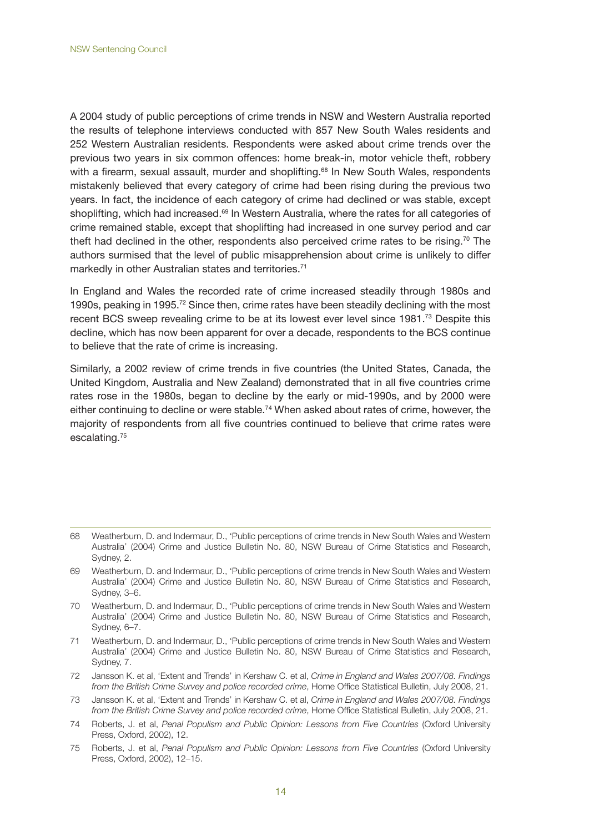A 2004 study of public perceptions of crime trends in NSW and Western Australia reported the results of telephone interviews conducted with 857 New South Wales residents and 252 Western Australian residents. Respondents were asked about crime trends over the previous two years in six common offences: home break-in, motor vehicle theft, robbery with a firearm, sexual assault, murder and shoplifting.<sup>68</sup> In New South Wales, respondents mistakenly believed that every category of crime had been rising during the previous two years. In fact, the incidence of each category of crime had declined or was stable, except shoplifting, which had increased.<sup>69</sup> In Western Australia, where the rates for all categories of crime remained stable, except that shoplifting had increased in one survey period and car theft had declined in the other, respondents also perceived crime rates to be rising.<sup>70</sup> The authors surmised that the level of public misapprehension about crime is unlikely to differ markedly in other Australian states and territories.<sup>71</sup>

In England and Wales the recorded rate of crime increased steadily through 1980s and 1990s, peaking in 1995.<sup>72</sup> Since then, crime rates have been steadily declining with the most recent BCS sweep revealing crime to be at its lowest ever level since 1981.<sup>73</sup> Despite this decline, which has now been apparent for over a decade, respondents to the BCS continue to believe that the rate of crime is increasing.

Similarly, a 2002 review of crime trends in five countries (the United States, Canada, the United Kingdom, Australia and New Zealand) demonstrated that in all five countries crime rates rose in the 1980s, began to decline by the early or mid-1990s, and by 2000 were either continuing to decline or were stable.<sup>74</sup> When asked about rates of crime, however, the majority of respondents from all five countries continued to believe that crime rates were escalating.75

- 69 Weatherburn, D. and Indermaur, D., 'Public perceptions of crime trends in New South Wales and Western Australia' (2004) Crime and Justice Bulletin No. 80, NSW Bureau of Crime Statistics and Research, Sydney, 3–6.
- 70 Weatherburn, D. and Indermaur, D., 'Public perceptions of crime trends in New South Wales and Western Australia' (2004) Crime and Justice Bulletin No. 80, NSW Bureau of Crime Statistics and Research, Sydney, 6–7.
- 71 Weatherburn, D. and Indermaur, D., 'Public perceptions of crime trends in New South Wales and Western Australia' (2004) Crime and Justice Bulletin No. 80, NSW Bureau of Crime Statistics and Research, Sydney, 7.
- 72 Jansson K. et al, 'Extent and Trends' in Kershaw C. et al, *Crime in England and Wales 2007/08. Findings from the British Crime Survey and police recorded crime*, Home Office Statistical Bulletin, July 2008, 21.
- 73 Jansson K. et al, 'Extent and Trends' in Kershaw C. et al, *Crime in England and Wales 2007/08. Findings from the British Crime Survey and police recorded crime*, Home Office Statistical Bulletin, July 2008, 21.
- 74 Roberts, J. et al, *Penal Populism and Public Opinion: Lessons from Five Countries* (Oxford University Press, Oxford, 2002), 12.
- 75 Roberts, J. et al, *Penal Populism and Public Opinion: Lessons from Five Countries* (Oxford University Press, Oxford, 2002), 12–15.

<sup>68</sup> Weatherburn, D. and Indermaur, D., 'Public perceptions of crime trends in New South Wales and Western Australia' (2004) Crime and Justice Bulletin No. 80, NSW Bureau of Crime Statistics and Research, Sydney, 2.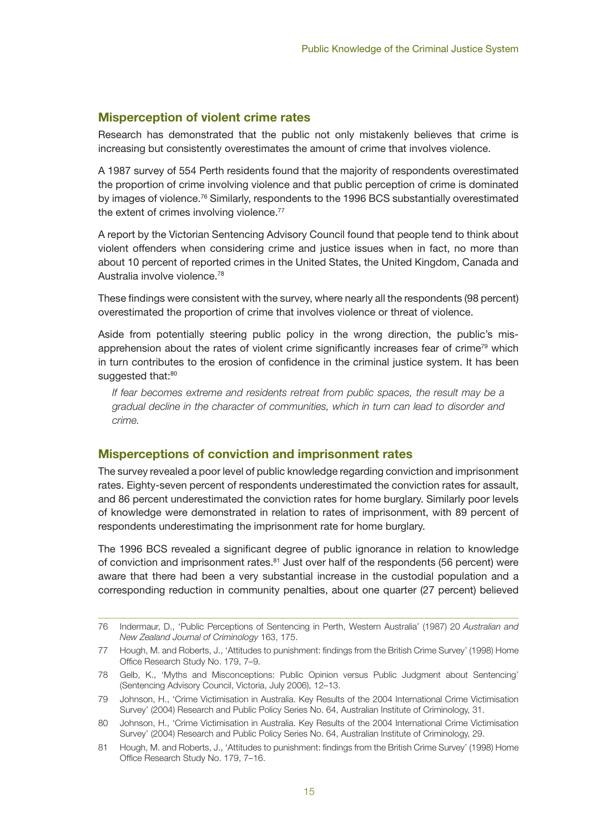### **Misperception of violent crime rates**

Research has demonstrated that the public not only mistakenly believes that crime is increasing but consistently overestimates the amount of crime that involves violence.

A 1987 survey of 554 Perth residents found that the majority of respondents overestimated the proportion of crime involving violence and that public perception of crime is dominated by images of violence.<sup>76</sup> Similarly, respondents to the 1996 BCS substantially overestimated the extent of crimes involving violence.<sup>77</sup>

A report by the Victorian Sentencing Advisory Council found that people tend to think about violent offenders when considering crime and justice issues when in fact, no more than about 10 percent of reported crimes in the United States, the United Kingdom, Canada and Australia involve violence.78

These findings were consistent with the survey, where nearly all the respondents (98 percent) overestimated the proportion of crime that involves violence or threat of violence.

Aside from potentially steering public policy in the wrong direction, the public's misapprehension about the rates of violent crime significantly increases fear of crime<sup>79</sup> which in turn contributes to the erosion of confidence in the criminal justice system. It has been suggested that:80

*If fear becomes extreme and residents retreat from public spaces, the result may be a gradual decline in the character of communities, which in turn can lead to disorder and crime.*

#### **Misperceptions of conviction and imprisonment rates**

The survey revealed a poor level of public knowledge regarding conviction and imprisonment rates. Eighty-seven percent of respondents underestimated the conviction rates for assault, and 86 percent underestimated the conviction rates for home burglary. Similarly poor levels of knowledge were demonstrated in relation to rates of imprisonment, with 89 percent of respondents underestimating the imprisonment rate for home burglary.

The 1996 BCS revealed a significant degree of public ignorance in relation to knowledge of conviction and imprisonment rates. $81$  Just over half of the respondents (56 percent) were aware that there had been a very substantial increase in the custodial population and a corresponding reduction in community penalties, about one quarter (27 percent) believed

<sup>76</sup> Indermaur, D., 'Public Perceptions of Sentencing in Perth, Western Australia' (1987) 20 *Australian and New Zealand Journal of Criminology* 163, 175.

<sup>77</sup> Hough, M. and Roberts, J., 'Attitudes to punishment: findings from the British Crime Survey' (1998) Home Office Research Study No. 179, 7–9.

<sup>78</sup> Gelb, K., 'Myths and Misconceptions: Public Opinion versus Public Judgment about Sentencing' (Sentencing Advisory Council, Victoria, July 2006), 12–13.

<sup>79</sup> Johnson, H., 'Crime Victimisation in Australia. Key Results of the 2004 International Crime Victimisation Survey' (2004) Research and Public Policy Series No. 64, Australian Institute of Criminology, 31.

<sup>80</sup> Johnson, H., 'Crime Victimisation in Australia. Key Results of the 2004 International Crime Victimisation Survey' (2004) Research and Public Policy Series No. 64, Australian Institute of Criminology, 29.

<sup>81</sup> Hough, M. and Roberts, J., 'Attitudes to punishment: findings from the British Crime Survey' (1998) Home Office Research Study No. 179, 7–16.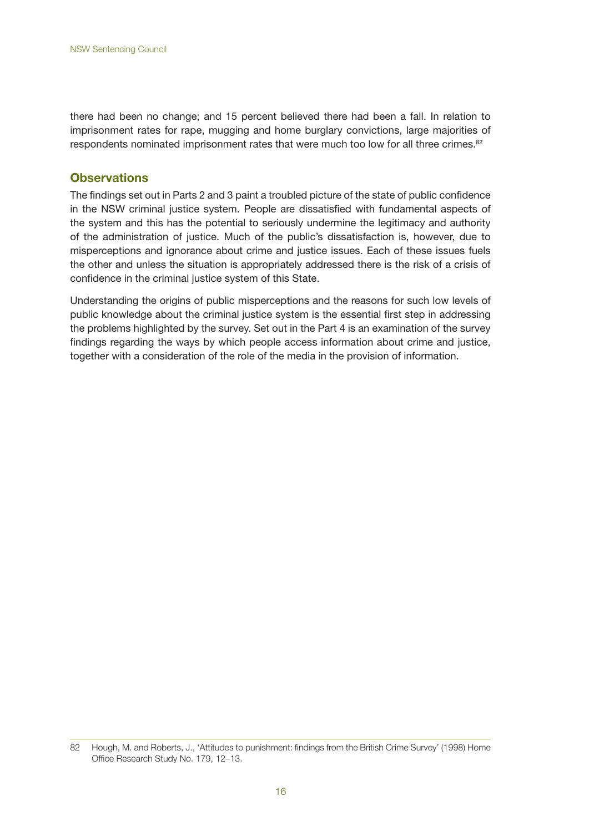there had been no change; and 15 percent believed there had been a fall. In relation to imprisonment rates for rape, mugging and home burglary convictions, large majorities of respondents nominated imprisonment rates that were much too low for all three crimes.<sup>82</sup>

### **Observations**

The findings set out in Parts 2 and 3 paint a troubled picture of the state of public confidence in the NSW criminal justice system. People are dissatisfied with fundamental aspects of the system and this has the potential to seriously undermine the legitimacy and authority of the administration of justice. Much of the public's dissatisfaction is, however, due to misperceptions and ignorance about crime and justice issues. Each of these issues fuels the other and unless the situation is appropriately addressed there is the risk of a crisis of confidence in the criminal justice system of this State.

Understanding the origins of public misperceptions and the reasons for such low levels of public knowledge about the criminal justice system is the essential first step in addressing the problems highlighted by the survey. Set out in the Part 4 is an examination of the survey findings regarding the ways by which people access information about crime and justice, together with a consideration of the role of the media in the provision of information.

<sup>82</sup> Hough, M. and Roberts, J., 'Attitudes to punishment: findings from the British Crime Survey' (1998) Home Office Research Study No. 179, 12–13.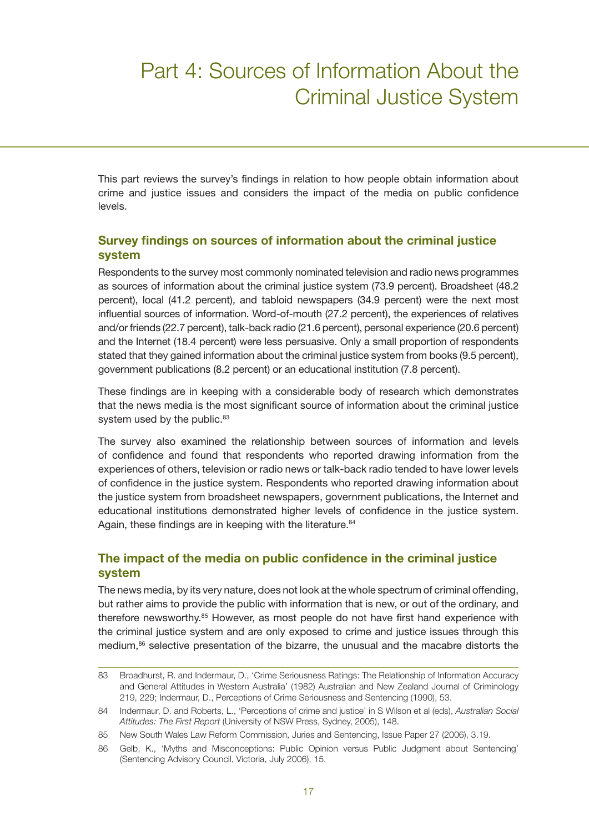## Part 4: Sources of Information About the Criminal Justice System

This part reviews the survey's findings in relation to how people obtain information about crime and justice issues and considers the impact of the media on public confidence levels.

## **Survey findings on sources of information about the criminal justice system**

Respondents to the survey most commonly nominated television and radio news programmes as sources of information about the criminal justice system (73.9 percent). Broadsheet (48.2 percent), local (41.2 percent), and tabloid newspapers (34.9 percent) were the next most influential sources of information. Word-of-mouth (27.2 percent), the experiences of relatives and/or friends (22.7 percent), talk-back radio (21.6 percent), personal experience (20.6 percent) and the Internet (18.4 percent) were less persuasive. Only a small proportion of respondents stated that they gained information about the criminal justice system from books (9.5 percent), government publications (8.2 percent) or an educational institution (7.8 percent).

These findings are in keeping with a considerable body of research which demonstrates that the news media is the most significant source of information about the criminal justice system used by the public.<sup>83</sup>

The survey also examined the relationship between sources of information and levels of confidence and found that respondents who reported drawing information from the experiences of others, television or radio news or talk-back radio tended to have lower levels of confidence in the justice system. Respondents who reported drawing information about the justice system from broadsheet newspapers, government publications, the Internet and educational institutions demonstrated higher levels of confidence in the justice system. Again, these findings are in keeping with the literature.<sup>84</sup>

## **The impact of the media on public confidence in the criminal justice system**

The news media, by its very nature, does not look at the whole spectrum of criminal offending, but rather aims to provide the public with information that is new, or out of the ordinary, and therefore newsworthy.85 However, as most people do not have first hand experience with the criminal justice system and are only exposed to crime and justice issues through this medium,86 selective presentation of the bizarre, the unusual and the macabre distorts the

<sup>83</sup> Broadhurst, R. and Indermaur, D., 'Crime Seriousness Ratings: The Relationship of Information Accuracy and General Attitudes in Western Australia' (1982) Australian and New Zealand Journal of Criminology 219, 229; Indermaur, D., Perceptions of Crime Seriousness and Sentencing (1990), 53.

<sup>84</sup> Indermaur, D. and Roberts, L., 'Perceptions of crime and justice' in S Wilson et al (eds), *Australian Social Attitudes: The First Report* (University of NSW Press, Sydney, 2005), 148.

<sup>85</sup> New South Wales Law Reform Commission, Juries and Sentencing, Issue Paper 27 (2006), 3.19.

<sup>86</sup> Gelb, K., 'Myths and Misconceptions: Public Opinion versus Public Judgment about Sentencing' (Sentencing Advisory Council, Victoria, July 2006), 15.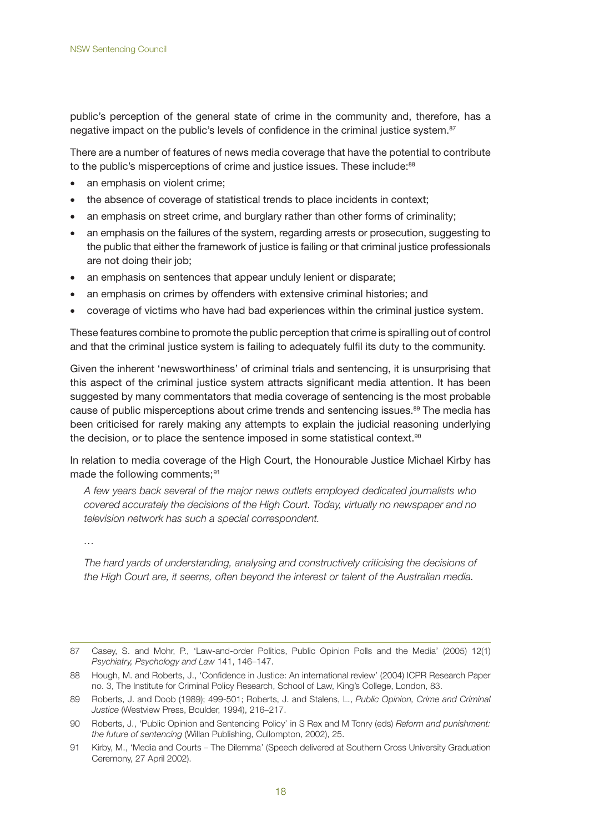public's perception of the general state of crime in the community and, therefore, has a negative impact on the public's levels of confidence in the criminal justice system.<sup>87</sup>

There are a number of features of news media coverage that have the potential to contribute to the public's misperceptions of crime and justice issues. These include:<sup>88</sup>

- an emphasis on violent crime;
- the absence of coverage of statistical trends to place incidents in context;
- an emphasis on street crime, and burglary rather than other forms of criminality;
- an emphasis on the failures of the system, regarding arrests or prosecution, suggesting to the public that either the framework of justice is failing or that criminal justice professionals are not doing their job;
- an emphasis on sentences that appear unduly lenient or disparate;
- an emphasis on crimes by offenders with extensive criminal histories; and
- coverage of victims who have had bad experiences within the criminal justice system.

These features combine to promote the public perception that crime is spiralling out of control and that the criminal justice system is failing to adequately fulfil its duty to the community.

Given the inherent 'newsworthiness' of criminal trials and sentencing, it is unsurprising that this aspect of the criminal justice system attracts significant media attention. It has been suggested by many commentators that media coverage of sentencing is the most probable cause of public misperceptions about crime trends and sentencing issues.<sup>89</sup> The media has been criticised for rarely making any attempts to explain the judicial reasoning underlying the decision, or to place the sentence imposed in some statistical context.<sup>90</sup>

In relation to media coverage of the High Court, the Honourable Justice Michael Kirby has made the following comments;<sup>91</sup>

*A few years back several of the major news outlets employed dedicated journalists who covered accurately the decisions of the High Court. Today, virtually no newspaper and no television network has such a special correspondent.*

*…*

*The hard yards of understanding, analysing and constructively criticising the decisions of the High Court are, it seems, often beyond the interest or talent of the Australian media.* 

<sup>87</sup> Casey, S. and Mohr, P., 'Law-and-order Politics, Public Opinion Polls and the Media' (2005) 12(1) *Psychiatry, Psychology and Law* 141, 146–147.

<sup>88</sup> Hough, M. and Roberts, J., 'Confidence in Justice: An international review' (2004) ICPR Research Paper no. 3, The Institute for Criminal Policy Research, School of Law, King's College, London, 83.

<sup>89</sup> Roberts, J. and Doob (1989); 499-501; Roberts, J. and Stalens, L., *Public Opinion, Crime and Criminal Justice* (Westview Press, Boulder, 1994), 216–217.

<sup>90</sup> Roberts, J., 'Public Opinion and Sentencing Policy' in S Rex and M Tonry (eds) *Reform and punishment: the future of sentencing* (Willan Publishing, Cullompton, 2002), 25.

<sup>91</sup> Kirby, M., 'Media and Courts – The Dilemma' (Speech delivered at Southern Cross University Graduation Ceremony, 27 April 2002).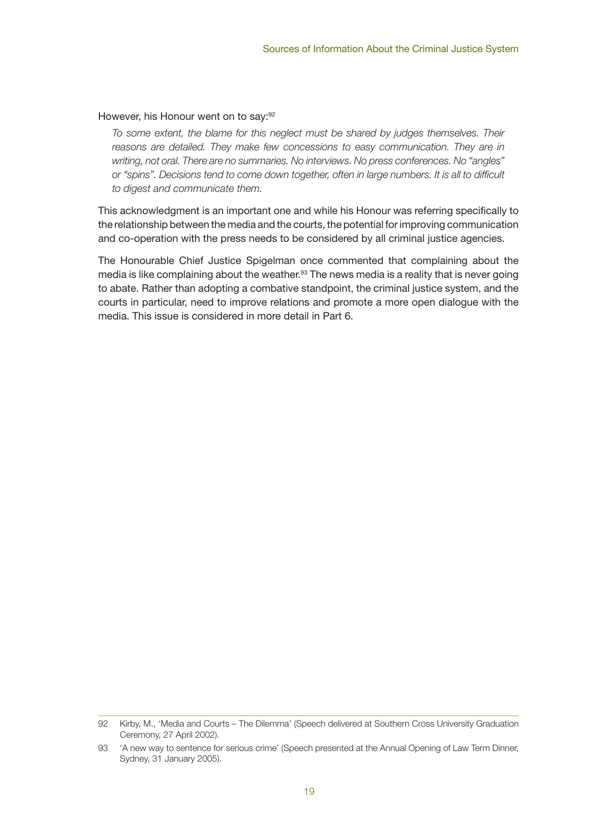#### However, his Honour went on to say:<sup>92</sup>

*To some extent, the blame for this neglect must be shared by judges themselves. Their* reasons are detailed. They make few concessions to easy communication. They are in *writing, not oral. There are no summaries. No interviews. No press conferences. No "angles"*  or "spins". Decisions tend to come down together, often in large numbers. It is all to difficult *to digest and communicate them.*

This acknowledgment is an important one and while his Honour was referring specifically to the relationship between the media and the courts, the potential for improving communication and co-operation with the press needs to be considered by all criminal justice agencies.

The Honourable Chief Justice Spigelman once commented that complaining about the media is like complaining about the weather.<sup>93</sup> The news media is a reality that is never going to abate. Rather than adopting a combative standpoint, the criminal justice system, and the courts in particular, need to improve relations and promote a more open dialogue with the media. This issue is considered in more detail in Part 6.

<sup>92</sup> Kirby, M., 'Media and Courts – The Dilemma' (Speech delivered at Southern Cross University Graduation Ceremony, 27 April 2002).

<sup>93</sup> 'A new way to sentence for serious crime' (Speech presented at the Annual Opening of Law Term Dinner, Sydney, 31 January 2005).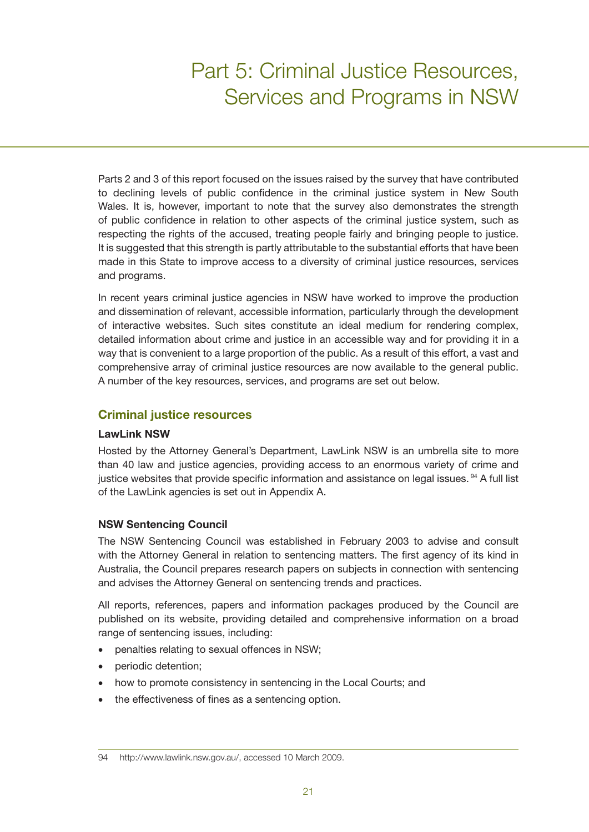# Part 5: Criminal Justice Resources, Services and Programs in NSW

Parts 2 and 3 of this report focused on the issues raised by the survey that have contributed to declining levels of public confidence in the criminal justice system in New South Wales. It is, however, important to note that the survey also demonstrates the strength of public confidence in relation to other aspects of the criminal justice system, such as respecting the rights of the accused, treating people fairly and bringing people to justice. It is suggested that this strength is partly attributable to the substantial efforts that have been made in this State to improve access to a diversity of criminal justice resources, services and programs.

In recent years criminal justice agencies in NSW have worked to improve the production and dissemination of relevant, accessible information, particularly through the development of interactive websites. Such sites constitute an ideal medium for rendering complex, detailed information about crime and justice in an accessible way and for providing it in a way that is convenient to a large proportion of the public. As a result of this effort, a vast and comprehensive array of criminal justice resources are now available to the general public. A number of the key resources, services, and programs are set out below.

## **Criminal justice resources**

#### **LawLink NSW**

Hosted by the Attorney General's Department, LawLink NSW is an umbrella site to more than 40 law and justice agencies, providing access to an enormous variety of crime and justice websites that provide specific information and assistance on legal issues. <sup>94</sup> A full list of the LawLink agencies is set out in Appendix A.

#### **NSW Sentencing Council**

The NSW Sentencing Council was established in February 2003 to advise and consult with the Attorney General in relation to sentencing matters. The first agency of its kind in Australia, the Council prepares research papers on subjects in connection with sentencing and advises the Attorney General on sentencing trends and practices.

All reports, references, papers and information packages produced by the Council are published on its website, providing detailed and comprehensive information on a broad range of sentencing issues, including:

- penalties relating to sexual offences in NSW;
- periodic detention;
- how to promote consistency in sentencing in the Local Courts; and
- the effectiveness of fines as a sentencing option.

<sup>94</sup> http://www.lawlink.nsw.gov.au/, accessed 10 March 2009.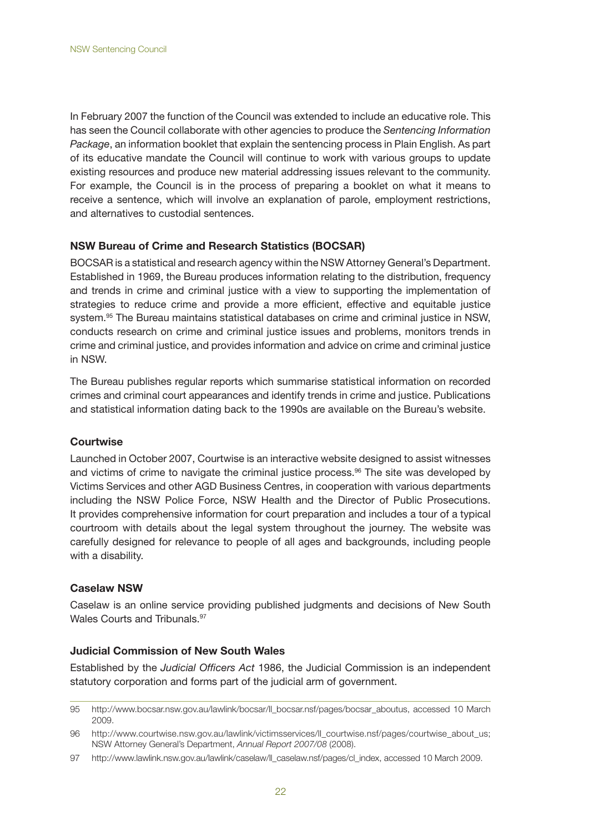In February 2007 the function of the Council was extended to include an educative role. This has seen the Council collaborate with other agencies to produce the *Sentencing Information Package*, an information booklet that explain the sentencing process in Plain English. As part of its educative mandate the Council will continue to work with various groups to update existing resources and produce new material addressing issues relevant to the community. For example, the Council is in the process of preparing a booklet on what it means to receive a sentence, which will involve an explanation of parole, employment restrictions, and alternatives to custodial sentences.

#### **NSW Bureau of Crime and Research Statistics (BOCSAR)**

BOCSAR is a statistical and research agency within the NSW Attorney General's Department. Established in 1969, the Bureau produces information relating to the distribution, frequency and trends in crime and criminal justice with a view to supporting the implementation of strategies to reduce crime and provide a more efficient, effective and equitable justice system.<sup>95</sup> The Bureau maintains statistical databases on crime and criminal justice in NSW, conducts research on crime and criminal justice issues and problems, monitors trends in crime and criminal justice, and provides information and advice on crime and criminal justice in NSW.

The Bureau publishes regular reports which summarise statistical information on recorded crimes and criminal court appearances and identify trends in crime and justice. Publications and statistical information dating back to the 1990s are available on the Bureau's website.

#### **Courtwise**

Launched in October 2007, Courtwise is an interactive website designed to assist witnesses and victims of crime to navigate the criminal justice process.<sup>96</sup> The site was developed by Victims Services and other AGD Business Centres, in cooperation with various departments including the NSW Police Force, NSW Health and the Director of Public Prosecutions. It provides comprehensive information for court preparation and includes a tour of a typical courtroom with details about the legal system throughout the journey. The website was carefully designed for relevance to people of all ages and backgrounds, including people with a disability.

#### **Caselaw NSW**

Caselaw is an online service providing published judgments and decisions of New South Wales Courts and Tribunals.<sup>97</sup>

#### **Judicial Commission of New South Wales**

Established by the *Judicial Officers Act* 1986, the Judicial Commission is an independent statutory corporation and forms part of the judicial arm of government.

<sup>95</sup> http://www.bocsar.nsw.gov.au/lawlink/bocsar/ll\_bocsar.nsf/pages/bocsar\_aboutus, accessed 10 March 2009.

<sup>96</sup> http://www.courtwise.nsw.gov.au/lawlink/victimsservices/ll\_courtwise.nsf/pages/courtwise\_about\_us; NSW Attorney General's Department, *Annual Report 2007/08* (2008).

<sup>97</sup> http://www.lawlink.nsw.gov.au/lawlink/caselaw/ll\_caselaw.nsf/pages/cl\_index, accessed 10 March 2009.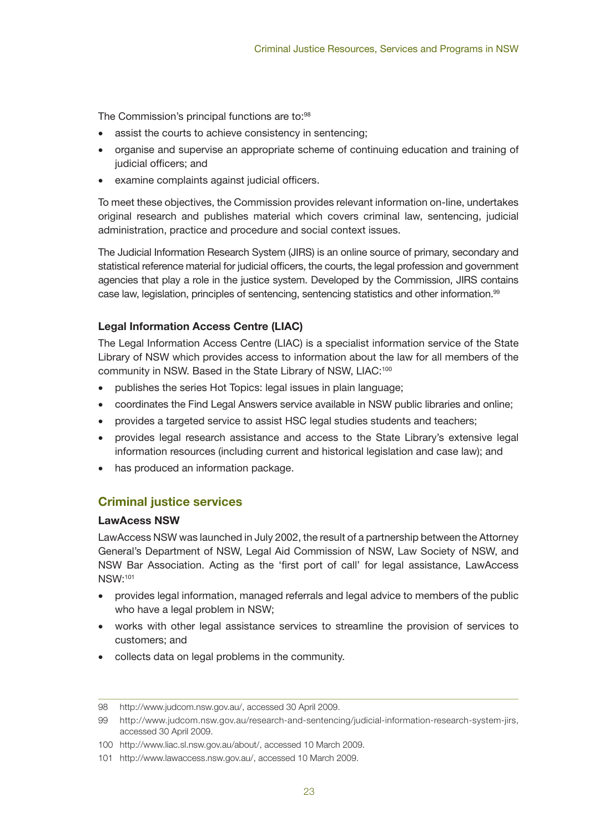The Commission's principal functions are to:<sup>98</sup>

- assist the courts to achieve consistency in sentencing;
- organise and supervise an appropriate scheme of continuing education and training of judicial officers; and
- examine complaints against judicial officers.

To meet these objectives, the Commission provides relevant information on-line, undertakes original research and publishes material which covers criminal law, sentencing, judicial administration, practice and procedure and social context issues.

The Judicial Information Research System (JIRS) is an online source of primary, secondary and statistical reference material for judicial officers, the courts, the legal profession and government agencies that play a role in the justice system. Developed by the Commission, JIRS contains case law, legislation, principles of sentencing, sentencing statistics and other information.<sup>99</sup>

#### **Legal Information Access Centre (LIAC)**

The Legal Information Access Centre (LIAC) is a specialist information service of the State Library of NSW which provides access to information about the law for all members of the community in NSW. Based in the State Library of NSW, LIAC:<sup>100</sup>

- publishes the series Hot Topics: legal issues in plain language;
- coordinates the Find Legal Answers service available in NSW public libraries and online;
- provides a targeted service to assist HSC legal studies students and teachers;
- provides legal research assistance and access to the State Library's extensive legal information resources (including current and historical legislation and case law); and
- has produced an information package.

## **Criminal justice services**

#### **LawAcess NSW**

LawAccess NSW was launched in July 2002, the result of a partnership between the Attorney General's Department of NSW, Legal Aid Commission of NSW, Law Society of NSW, and NSW Bar Association. Acting as the 'first port of call' for legal assistance, LawAccess NSW:101

- provides legal information, managed referrals and legal advice to members of the public who have a legal problem in NSW;
- works with other legal assistance services to streamline the provision of services to customers; and
- collects data on legal problems in the community.

<sup>98</sup> http://www.judcom.nsw.gov.au/, accessed 30 April 2009.

<sup>99</sup> http://www.judcom.nsw.gov.au/research-and-sentencing/judicial-information-research-system-jirs, accessed 30 April 2009.

<sup>100</sup> http://www.liac.sl.nsw.gov.au/about/, accessed 10 March 2009.

<sup>101</sup> http://www.lawaccess.nsw.gov.au/, accessed 10 March 2009.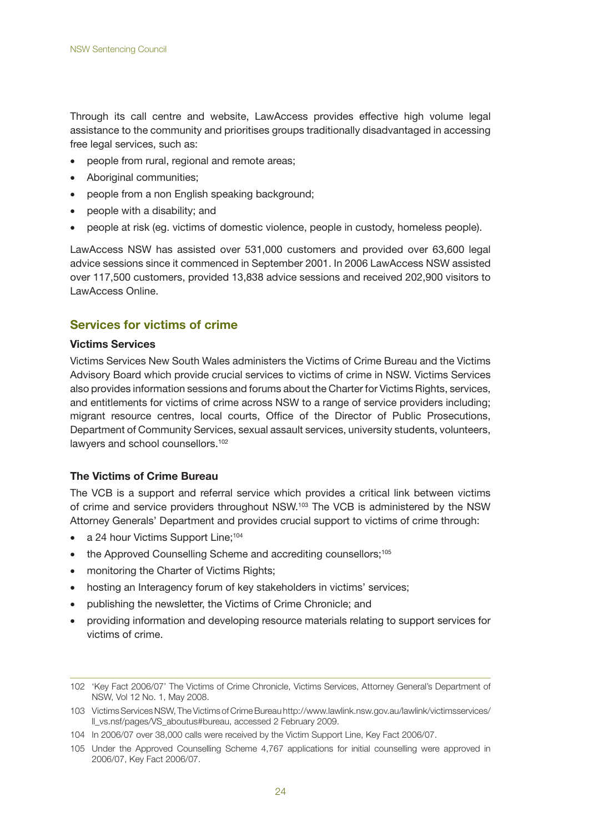Through its call centre and website, LawAccess provides effective high volume legal assistance to the community and prioritises groups traditionally disadvantaged in accessing free legal services, such as:

- people from rural, regional and remote areas;
- Aboriginal communities;
- people from a non English speaking background;
- people with a disability; and
- • people at risk (eg. victims of domestic violence, people in custody, homeless people).

LawAccess NSW has assisted over 531,000 customers and provided over 63,600 legal advice sessions since it commenced in September 2001. In 2006 LawAccess NSW assisted over 117,500 customers, provided 13,838 advice sessions and received 202,900 visitors to LawAccess Online.

## **Services for victims of crime**

#### **Victims Services**

Victims Services New South Wales administers the Victims of Crime Bureau and the Victims Advisory Board which provide crucial services to victims of crime in NSW. Victims Services also provides information sessions and forums about the Charter for Victims Rights, services, and entitlements for victims of crime across NSW to a range of service providers including; migrant resource centres, local courts, Office of the Director of Public Prosecutions, Department of Community Services, sexual assault services, university students, volunteers, lawyers and school counsellors.102

#### **The Victims of Crime Bureau**

The VCB is a support and referral service which provides a critical link between victims of crime and service providers throughout NSW.103 The VCB is administered by the NSW Attorney Generals' Department and provides crucial support to victims of crime through:

- a 24 hour Victims Support Line:<sup>104</sup>
- the Approved Counselling Scheme and accrediting counsellors;<sup>105</sup>
- monitoring the Charter of Victims Rights;
- hosting an Interagency forum of key stakeholders in victims' services;
- publishing the newsletter, the Victims of Crime Chronicle; and
- providing information and developing resource materials relating to support services for victims of crime.

<sup>102</sup> 'Key Fact 2006/07' The Victims of Crime Chronicle, Victims Services, Attorney General's Department of NSW, Vol 12 No. 1, May 2008.

<sup>103</sup> Victims Services NSW, The Victims of Crime Bureau http://www.lawlink.nsw.gov.au/lawlink/victimsservices/ ll\_vs.nsf/pages/VS\_aboutus#bureau, accessed 2 February 2009.

<sup>104</sup> In 2006/07 over 38,000 calls were received by the Victim Support Line, Key Fact 2006/07.

<sup>105</sup> Under the Approved Counselling Scheme 4,767 applications for initial counselling were approved in 2006/07, Key Fact 2006/07.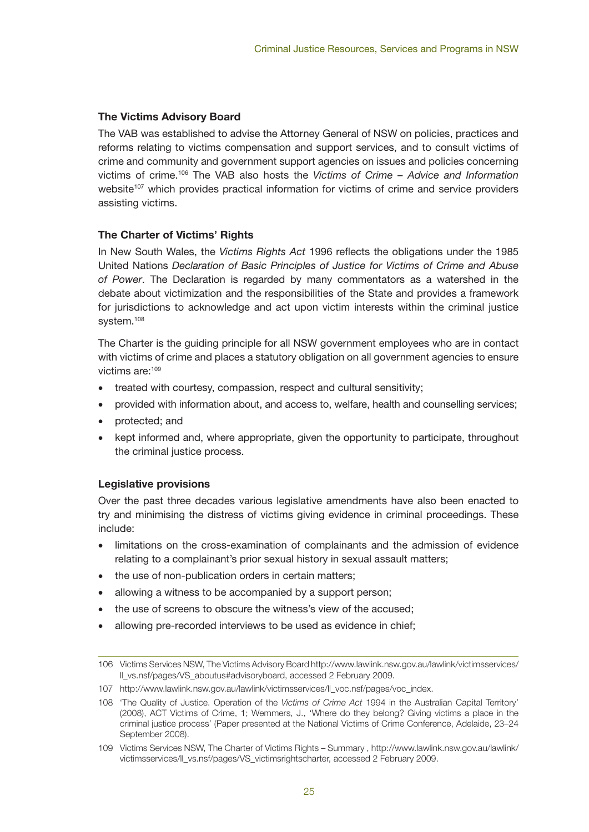### **The Victims Advisory Board**

The VAB was established to advise the Attorney General of NSW on policies, practices and reforms relating to victims compensation and support services, and to consult victims of crime and community and government support agencies on issues and policies concerning victims of crime.106 The VAB also hosts the *Victims of Crime – Advice and Information* website<sup>107</sup> which provides practical information for victims of crime and service providers assisting victims.

### **The Charter of Victims' Rights**

In New South Wales, the *Victims Rights Act* 1996 reflects the obligations under the 1985 United Nations *Declaration of Basic Principles of Justice for Victims of Crime and Abuse of Power*. The Declaration is regarded by many commentators as a watershed in the debate about victimization and the responsibilities of the State and provides a framework for jurisdictions to acknowledge and act upon victim interests within the criminal justice system.<sup>108</sup>

The Charter is the guiding principle for all NSW government employees who are in contact with victims of crime and places a statutory obligation on all government agencies to ensure victims are:109

- treated with courtesy, compassion, respect and cultural sensitivity;
- provided with information about, and access to, welfare, health and counselling services;
- protected; and
- kept informed and, where appropriate, given the opportunity to participate, throughout the criminal justice process.

#### **Legislative provisions**

Over the past three decades various legislative amendments have also been enacted to try and minimising the distress of victims giving evidence in criminal proceedings. These include:

- limitations on the cross-examination of complainants and the admission of evidence relating to a complainant's prior sexual history in sexual assault matters;
- the use of non-publication orders in certain matters;
- allowing a witness to be accompanied by a support person;
- the use of screens to obscure the witness's view of the accused;
- allowing pre-recorded interviews to be used as evidence in chief;

<sup>106</sup> Victims Services NSW, The Victims Advisory Board http://www.lawlink.nsw.gov.au/lawlink/victimsservices/ ll\_vs.nsf/pages/VS\_aboutus#advisoryboard, accessed 2 February 2009.

<sup>107</sup> http://www.lawlink.nsw.gov.au/lawlink/victimsservices/ll\_voc.nsf/pages/voc\_index.

<sup>108</sup> 'The Quality of Justice. Operation of the *Victims of Crime Act* 1994 in the Australian Capital Territory' (2008), ACT Victims of Crime, 1; Wemmers, J., 'Where do they belong? Giving victims a place in the criminal justice process' (Paper presented at the National Victims of Crime Conference, Adelaide, 23–24 September 2008).

<sup>109</sup> Victims Services NSW, The Charter of Victims Rights – Summary , http://www.lawlink.nsw.gov.au/lawlink/ victimsservices/ll\_vs.nsf/pages/VS\_victimsrightscharter, accessed 2 February 2009.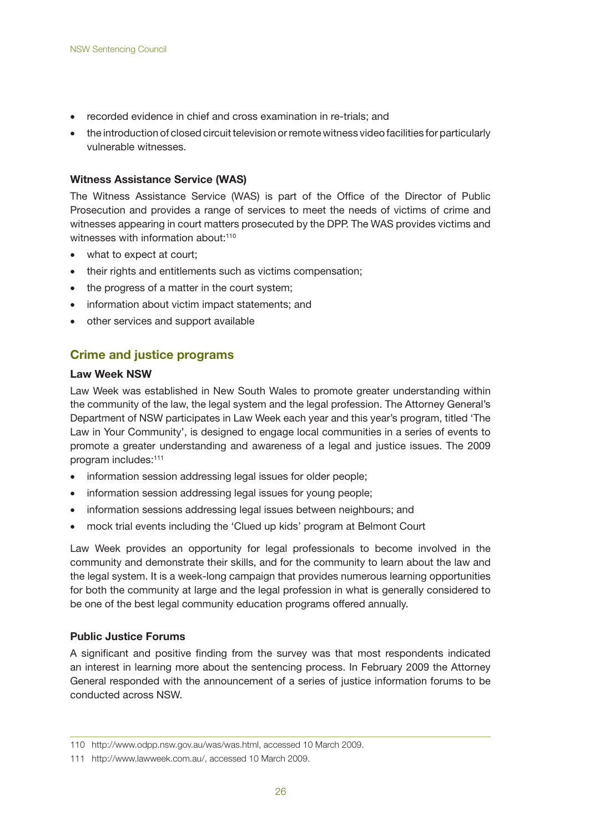- recorded evidence in chief and cross examination in re-trials; and
- the introduction of closed circuit television or remote witness video facilities for particularly vulnerable witnesses.

#### **Witness Assistance Service (WAS)**

The Witness Assistance Service (WAS) is part of the Office of the Director of Public Prosecution and provides a range of services to meet the needs of victims of crime and witnesses appearing in court matters prosecuted by the DPP. The WAS provides victims and witnesses with information about:<sup>110</sup>

- what to expect at court:
- their rights and entitlements such as victims compensation;
- the progress of a matter in the court system;
- information about victim impact statements; and
- other services and support available

### **Crime and justice programs**

#### **Law Week NSW**

Law Week was established in New South Wales to promote greater understanding within the community of the law, the legal system and the legal profession. The Attorney General's Department of NSW participates in Law Week each year and this year's program, titled 'The Law in Your Community', is designed to engage local communities in a series of events to promote a greater understanding and awareness of a legal and justice issues. The 2009 program includes:111

- information session addressing legal issues for older people;
- information session addressing legal issues for young people;
- information sessions addressing legal issues between neighbours; and
- mock trial events including the 'Clued up kids' program at Belmont Court

Law Week provides an opportunity for legal professionals to become involved in the community and demonstrate their skills, and for the community to learn about the law and the legal system. It is a week-long campaign that provides numerous learning opportunities for both the community at large and the legal profession in what is generally considered to be one of the best legal community education programs offered annually.

#### **Public Justice Forums**

A significant and positive finding from the survey was that most respondents indicated an interest in learning more about the sentencing process. In February 2009 the Attorney General responded with the announcement of a series of justice information forums to be conducted across NSW.

<sup>110</sup> http://www.odpp.nsw.gov.au/was/was.html, accessed 10 March 2009.

<sup>111</sup> http://www.lawweek.com.au/, accessed 10 March 2009.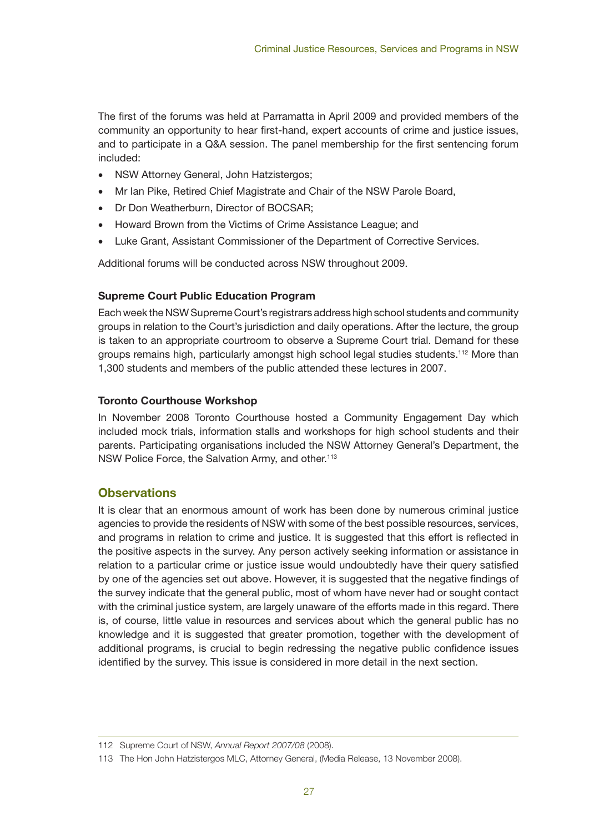The first of the forums was held at Parramatta in April 2009 and provided members of the community an opportunity to hear first-hand, expert accounts of crime and justice issues, and to participate in a Q&A session. The panel membership for the first sentencing forum included:

- NSW Attorney General, John Hatzistergos;
- Mr Ian Pike, Retired Chief Magistrate and Chair of the NSW Parole Board,
- Dr Don Weatherburn, Director of BOCSAR;
- Howard Brown from the Victims of Crime Assistance League; and
- Luke Grant, Assistant Commissioner of the Department of Corrective Services.

Additional forums will be conducted across NSW throughout 2009.

### **Supreme Court Public Education Program**

Each week the NSW Supreme Court's registrars address high school students and community groups in relation to the Court's jurisdiction and daily operations. After the lecture, the group is taken to an appropriate courtroom to observe a Supreme Court trial. Demand for these groups remains high, particularly amongst high school legal studies students.112 More than 1,300 students and members of the public attended these lectures in 2007.

### **Toronto Courthouse Workshop**

In November 2008 Toronto Courthouse hosted a Community Engagement Day which included mock trials, information stalls and workshops for high school students and their parents. Participating organisations included the NSW Attorney General's Department, the NSW Police Force, the Salvation Army, and other.<sup>113</sup>

## **Observations**

It is clear that an enormous amount of work has been done by numerous criminal justice agencies to provide the residents of NSW with some of the best possible resources, services, and programs in relation to crime and justice. It is suggested that this effort is reflected in the positive aspects in the survey. Any person actively seeking information or assistance in relation to a particular crime or justice issue would undoubtedly have their query satisfied by one of the agencies set out above. However, it is suggested that the negative findings of the survey indicate that the general public, most of whom have never had or sought contact with the criminal justice system, are largely unaware of the efforts made in this regard. There is, of course, little value in resources and services about which the general public has no knowledge and it is suggested that greater promotion, together with the development of additional programs, is crucial to begin redressing the negative public confidence issues identified by the survey. This issue is considered in more detail in the next section.

<sup>112</sup> Supreme Court of NSW, *Annual Report 2007/08* (2008).

<sup>113</sup> The Hon John Hatzistergos MLC, Attorney General, (Media Release, 13 November 2008).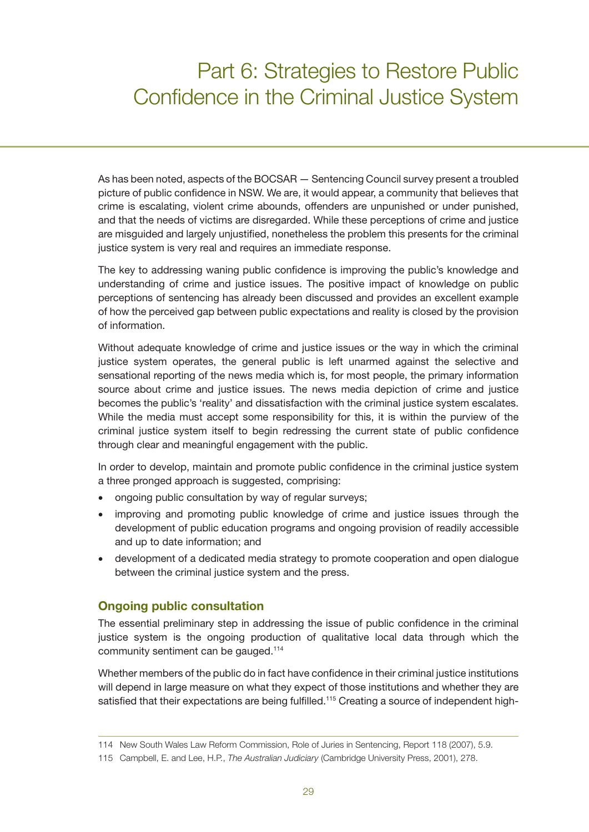## Part 6: Strategies to Restore Public Confidence in the Criminal Justice System

As has been noted, aspects of the BOCSAR — Sentencing Council survey present a troubled picture of public confidence in NSW. We are, it would appear, a community that believes that crime is escalating, violent crime abounds, offenders are unpunished or under punished, and that the needs of victims are disregarded. While these perceptions of crime and justice are misguided and largely unjustified, nonetheless the problem this presents for the criminal justice system is very real and requires an immediate response.

The key to addressing waning public confidence is improving the public's knowledge and understanding of crime and justice issues. The positive impact of knowledge on public perceptions of sentencing has already been discussed and provides an excellent example of how the perceived gap between public expectations and reality is closed by the provision of information.

Without adequate knowledge of crime and justice issues or the way in which the criminal justice system operates, the general public is left unarmed against the selective and sensational reporting of the news media which is, for most people, the primary information source about crime and justice issues. The news media depiction of crime and justice becomes the public's 'reality' and dissatisfaction with the criminal justice system escalates. While the media must accept some responsibility for this, it is within the purview of the criminal justice system itself to begin redressing the current state of public confidence through clear and meaningful engagement with the public.

In order to develop, maintain and promote public confidence in the criminal justice system a three pronged approach is suggested, comprising:

- ongoing public consultation by way of regular surveys;
- improving and promoting public knowledge of crime and justice issues through the development of public education programs and ongoing provision of readily accessible and up to date information; and
- development of a dedicated media strategy to promote cooperation and open dialogue between the criminal justice system and the press.

## **Ongoing public consultation**

The essential preliminary step in addressing the issue of public confidence in the criminal justice system is the ongoing production of qualitative local data through which the community sentiment can be gauged.114

Whether members of the public do in fact have confidence in their criminal justice institutions will depend in large measure on what they expect of those institutions and whether they are satisfied that their expectations are being fulfilled.<sup>115</sup> Creating a source of independent high-

<sup>114</sup> New South Wales Law Reform Commission, Role of Juries in Sentencing, Report 118 (2007), 5.9.

<sup>115</sup> Campbell, E. and Lee, H.P., *The Australian Judiciary* (Cambridge University Press, 2001), 278.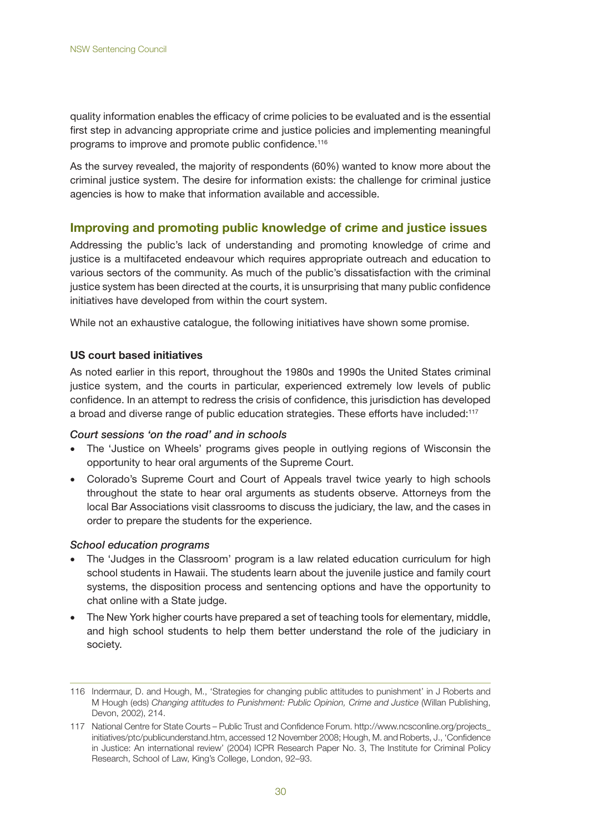quality information enables the efficacy of crime policies to be evaluated and is the essential first step in advancing appropriate crime and justice policies and implementing meaningful programs to improve and promote public confidence.<sup>116</sup>

As the survey revealed, the majority of respondents (60%) wanted to know more about the criminal justice system. The desire for information exists: the challenge for criminal justice agencies is how to make that information available and accessible.

#### **Improving and promoting public knowledge of crime and justice issues**

Addressing the public's lack of understanding and promoting knowledge of crime and justice is a multifaceted endeavour which requires appropriate outreach and education to various sectors of the community. As much of the public's dissatisfaction with the criminal justice system has been directed at the courts, it is unsurprising that many public confidence initiatives have developed from within the court system.

While not an exhaustive catalogue, the following initiatives have shown some promise.

#### **US court based initiatives**

As noted earlier in this report, throughout the 1980s and 1990s the United States criminal justice system, and the courts in particular, experienced extremely low levels of public confidence. In an attempt to redress the crisis of confidence, this jurisdiction has developed a broad and diverse range of public education strategies. These efforts have included:117

#### *Court sessions 'on the road' and in schools*

- The 'Justice on Wheels' programs gives people in outlying regions of Wisconsin the opportunity to hear oral arguments of the Supreme Court.
- Colorado's Supreme Court and Court of Appeals travel twice yearly to high schools throughout the state to hear oral arguments as students observe. Attorneys from the local Bar Associations visit classrooms to discuss the judiciary, the law, and the cases in order to prepare the students for the experience.

#### *School education programs*

- The 'Judges in the Classroom' program is a law related education curriculum for high school students in Hawaii. The students learn about the juvenile justice and family court systems, the disposition process and sentencing options and have the opportunity to chat online with a State judge.
- The New York higher courts have prepared a set of teaching tools for elementary, middle, and high school students to help them better understand the role of the judiciary in society.

<sup>116</sup> Indermaur, D. and Hough, M., 'Strategies for changing public attitudes to punishment' in J Roberts and M Hough (eds) *Changing attitudes to Punishment: Public Opinion, Crime and Justice* (Willan Publishing, Devon, 2002), 214.

<sup>117</sup> National Centre for State Courts – Public Trust and Confidence Forum. http://www.ncsconline.org/projects\_ initiatives/ptc/publicunderstand.htm, accessed 12 November 2008; Hough, M. and Roberts, J., 'Confidence in Justice: An international review' (2004) ICPR Research Paper No. 3, The Institute for Criminal Policy Research, School of Law, King's College, London, 92–93.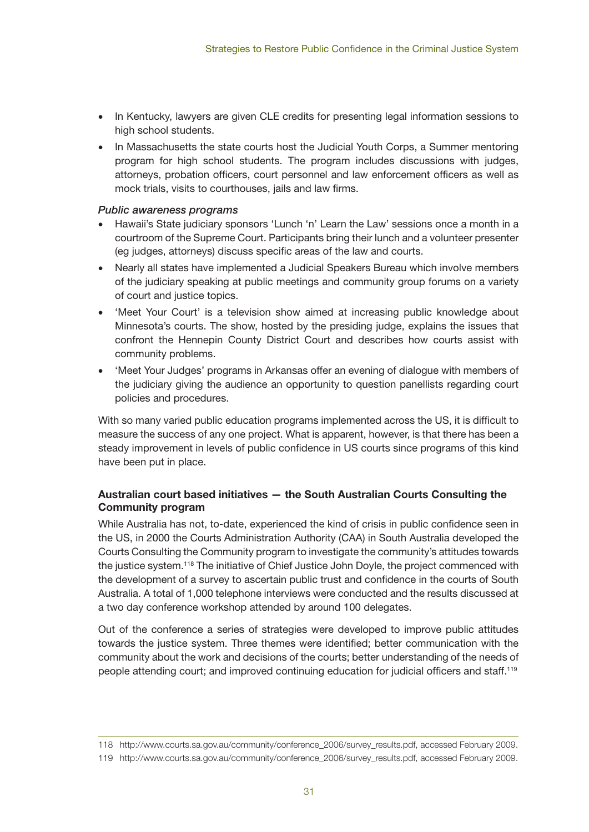- In Kentucky, lawyers are given CLE credits for presenting legal information sessions to high school students.
- In Massachusetts the state courts host the Judicial Youth Corps, a Summer mentoring program for high school students. The program includes discussions with judges, attorneys, probation officers, court personnel and law enforcement officers as well as mock trials, visits to courthouses, jails and law firms.

#### *Public awareness programs*

- Hawaii's State judiciary sponsors 'Lunch 'n' Learn the Law' sessions once a month in a courtroom of the Supreme Court. Participants bring their lunch and a volunteer presenter (eg judges, attorneys) discuss specific areas of the law and courts.
- Nearly all states have implemented a Judicial Speakers Bureau which involve members of the judiciary speaking at public meetings and community group forums on a variety of court and justice topics.
- Hotheet Your Court' is a television show aimed at increasing public knowledge about Minnesota's courts. The show, hosted by the presiding judge, explains the issues that confront the Hennepin County District Court and describes how courts assist with community problems.
- 'Meet Your Judges' programs in Arkansas offer an evening of dialogue with members of the judiciary giving the audience an opportunity to question panellists regarding court policies and procedures.

With so many varied public education programs implemented across the US, it is difficult to measure the success of any one project. What is apparent, however, is that there has been a steady improvement in levels of public confidence in US courts since programs of this kind have been put in place.

### **Australian court based initiatives — the South Australian Courts Consulting the Community program**

While Australia has not, to-date, experienced the kind of crisis in public confidence seen in the US, in 2000 the Courts Administration Authority (CAA) in South Australia developed the Courts Consulting the Community program to investigate the community's attitudes towards the justice system.<sup>118</sup> The initiative of Chief Justice John Doyle, the project commenced with the development of a survey to ascertain public trust and confidence in the courts of South Australia. A total of 1,000 telephone interviews were conducted and the results discussed at a two day conference workshop attended by around 100 delegates.

Out of the conference a series of strategies were developed to improve public attitudes towards the justice system. Three themes were identified; better communication with the community about the work and decisions of the courts; better understanding of the needs of people attending court; and improved continuing education for judicial officers and staff.119

<sup>118</sup> http://www.courts.sa.gov.au/community/conference\_2006/survey\_results.pdf, accessed February 2009.

<sup>119</sup> http://www.courts.sa.gov.au/community/conference\_2006/survey\_results.pdf, accessed February 2009.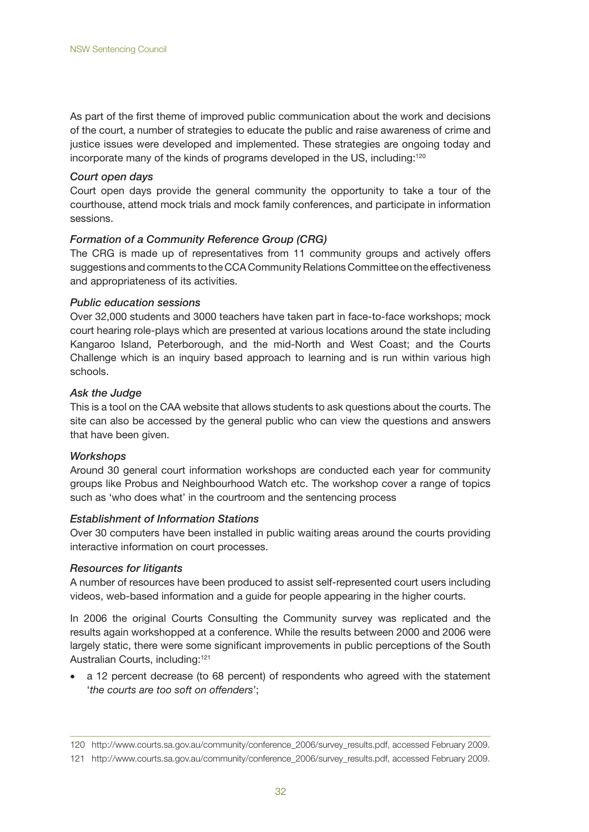As part of the first theme of improved public communication about the work and decisions of the court, a number of strategies to educate the public and raise awareness of crime and justice issues were developed and implemented. These strategies are ongoing today and incorporate many of the kinds of programs developed in the US, including:<sup>120</sup>

#### *Court open days*

Court open days provide the general community the opportunity to take a tour of the courthouse, attend mock trials and mock family conferences, and participate in information sessions.

#### *Formation of a Community Reference Group (CRG)*

The CRG is made up of representatives from 11 community groups and actively offers suggestions and comments to the CCA Community Relations Committee on the effectiveness and appropriateness of its activities.

#### *Public education sessions*

Over 32,000 students and 3000 teachers have taken part in face-to-face workshops; mock court hearing role-plays which are presented at various locations around the state including Kangaroo Island, Peterborough, and the mid-North and West Coast; and the Courts Challenge which is an inquiry based approach to learning and is run within various high schools.

#### *Ask the Judge*

This is a tool on the CAA website that allows students to ask questions about the courts. The site can also be accessed by the general public who can view the questions and answers that have been given.

#### *Workshops*

Around 30 general court information workshops are conducted each year for community groups like Probus and Neighbourhood Watch etc. The workshop cover a range of topics such as 'who does what' in the courtroom and the sentencing process

#### *Establishment of Information Stations*

Over 30 computers have been installed in public waiting areas around the courts providing interactive information on court processes.

#### *Resources for litigants*

A number of resources have been produced to assist self-represented court users including videos, web-based information and a guide for people appearing in the higher courts.

In 2006 the original Courts Consulting the Community survey was replicated and the results again workshopped at a conference. While the results between 2000 and 2006 were largely static, there were some significant improvements in public perceptions of the South Australian Courts, including:121

a 12 percent decrease (to 68 percent) of respondents who agreed with the statement '*the courts are too soft on offenders*';

<sup>120</sup> http://www.courts.sa.gov.au/community/conference\_2006/survey\_results.pdf, accessed February 2009.

<sup>121</sup> http://www.courts.sa.gov.au/community/conference\_2006/survey\_results.pdf, accessed February 2009.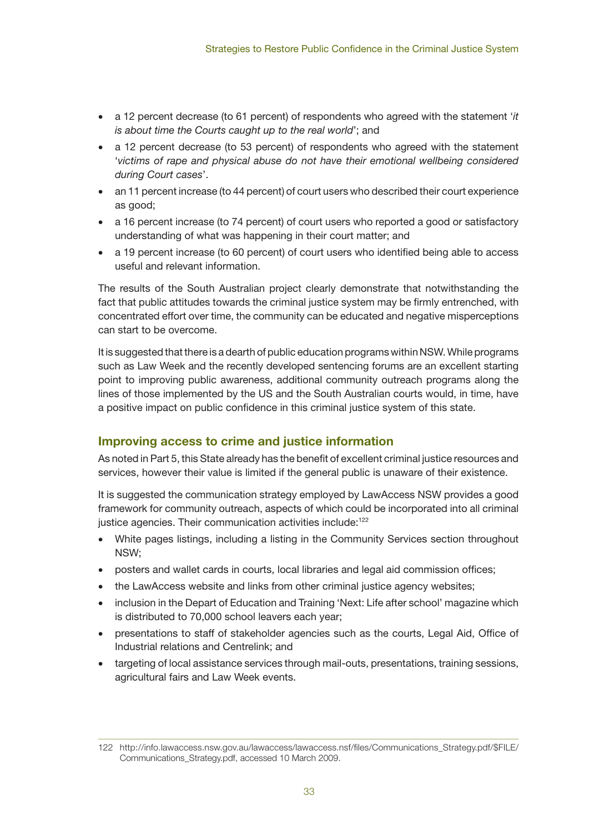- • a 12 percent decrease (to 61 percent) of respondents who agreed with the statement '*it is about time the Courts caught up to the real world*'; and
- a 12 percent decrease (to 53 percent) of respondents who agreed with the statement '*victims of rape and physical abuse do not have their emotional wellbeing considered during Court cases*'.
- an 11 percent increase (to 44 percent) of court users who described their court experience as good;
- a 16 percent increase (to 74 percent) of court users who reported a good or satisfactory understanding of what was happening in their court matter; and
- a 19 percent increase (to 60 percent) of court users who identified being able to access useful and relevant information.

The results of the South Australian project clearly demonstrate that notwithstanding the fact that public attitudes towards the criminal justice system may be firmly entrenched, with concentrated effort over time, the community can be educated and negative misperceptions can start to be overcome.

It is suggested that there is a dearth of public education programs within NSW. While programs such as Law Week and the recently developed sentencing forums are an excellent starting point to improving public awareness, additional community outreach programs along the lines of those implemented by the US and the South Australian courts would, in time, have a positive impact on public confidence in this criminal justice system of this state.

## **Improving access to crime and justice information**

As noted in Part 5, this State already has the benefit of excellent criminal justice resources and services, however their value is limited if the general public is unaware of their existence.

It is suggested the communication strategy employed by LawAccess NSW provides a good framework for community outreach, aspects of which could be incorporated into all criminal justice agencies. Their communication activities include:<sup>122</sup>

- White pages listings, including a listing in the Community Services section throughout NSW;
- posters and wallet cards in courts, local libraries and legal aid commission offices;
- the LawAccess website and links from other criminal justice agency websites;
- inclusion in the Depart of Education and Training 'Next: Life after school' magazine which is distributed to 70,000 school leavers each year;
- presentations to staff of stakeholder agencies such as the courts, Legal Aid, Office of Industrial relations and Centrelink; and
- targeting of local assistance services through mail-outs, presentations, training sessions, agricultural fairs and Law Week events.

<sup>122</sup> http://info.lawaccess.nsw.gov.au/lawaccess/lawaccess.nsf/files/Communications\_Strategy.pdf/\$FILE/ Communications\_Strategy.pdf, accessed 10 March 2009.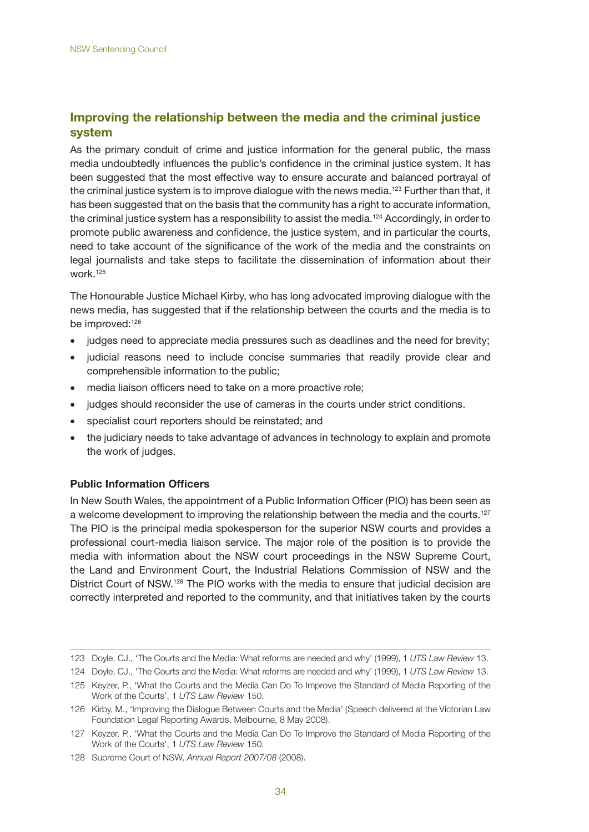## **Improving the relationship between the media and the criminal justice system**

As the primary conduit of crime and justice information for the general public, the mass media undoubtedly influences the public's confidence in the criminal justice system. It has been suggested that the most effective way to ensure accurate and balanced portrayal of the criminal justice system is to improve dialogue with the news media.<sup>123</sup> Further than that, it has been suggested that on the basis that the community has a right to accurate information, the criminal justice system has a responsibility to assist the media.124 Accordingly, in order to promote public awareness and confidence, the justice system, and in particular the courts, need to take account of the significance of the work of the media and the constraints on legal journalists and take steps to facilitate the dissemination of information about their work.125

The Honourable Justice Michael Kirby, who has long advocated improving dialogue with the news media, has suggested that if the relationship between the courts and the media is to be improved:<sup>126</sup>

- judges need to appreciate media pressures such as deadlines and the need for brevity;
- judicial reasons need to include concise summaries that readily provide clear and comprehensible information to the public;
- media liaison officers need to take on a more proactive role;
- judges should reconsider the use of cameras in the courts under strict conditions.
- specialist court reporters should be reinstated; and
- the judiciary needs to take advantage of advances in technology to explain and promote the work of judges.

#### **Public Information Officers**

In New South Wales, the appointment of a Public Information Officer (PIO) has been seen as a welcome development to improving the relationship between the media and the courts.<sup>127</sup> The PIO is the principal media spokesperson for the superior NSW courts and provides a professional court-media liaison service. The major role of the position is to provide the media with information about the NSW court proceedings in the NSW Supreme Court, the Land and Environment Court, the Industrial Relations Commission of NSW and the District Court of NSW.<sup>128</sup> The PIO works with the media to ensure that judicial decision are correctly interpreted and reported to the community, and that initiatives taken by the courts

<sup>123</sup> Doyle, CJ., 'The Courts and the Media: What reforms are needed and why' (1999), 1 *UTS Law Review* 13.

<sup>124</sup> Doyle, CJ., 'The Courts and the Media: What reforms are needed and why' (1999), 1 *UTS Law Review* 13.

<sup>125</sup> Keyzer, P., 'What the Courts and the Media Can Do To Improve the Standard of Media Reporting of the Work of the Courts', 1 *UTS Law Review* 150.

<sup>126</sup> Kirby, M., 'Improving the Dialogue Between Courts and the Media' (Speech delivered at the Victorian Law Foundation Legal Reporting Awards, Melbourne, 8 May 2008).

<sup>127</sup> Keyzer, P., 'What the Courts and the Media Can Do To Improve the Standard of Media Reporting of the Work of the Courts', 1 *UTS Law Review* 150.

<sup>128</sup> Supreme Court of NSW, *Annual Report 2007/08* (2008).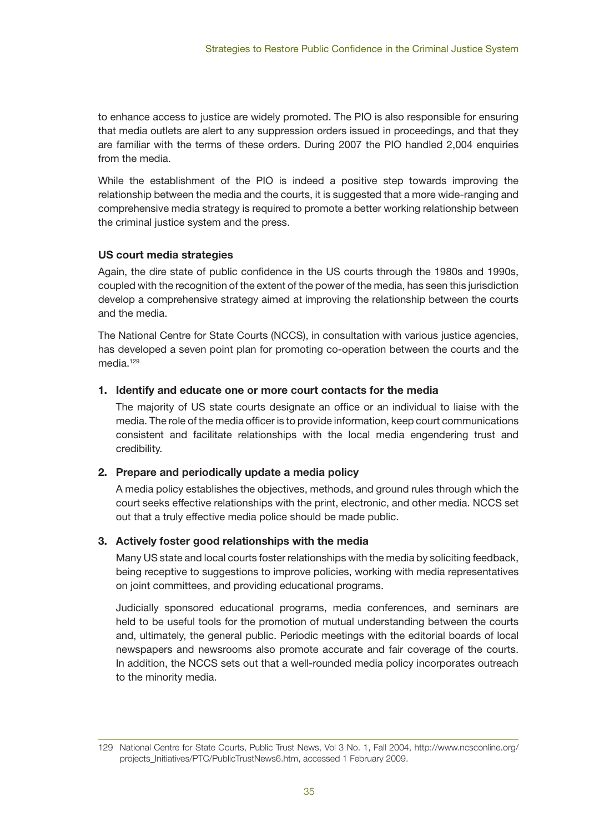to enhance access to justice are widely promoted. The PIO is also responsible for ensuring that media outlets are alert to any suppression orders issued in proceedings, and that they are familiar with the terms of these orders. During 2007 the PIO handled 2,004 enquiries from the media.

While the establishment of the PIO is indeed a positive step towards improving the relationship between the media and the courts, it is suggested that a more wide-ranging and comprehensive media strategy is required to promote a better working relationship between the criminal justice system and the press.

### **US court media strategies**

Again, the dire state of public confidence in the US courts through the 1980s and 1990s, coupled with the recognition of the extent of the power of the media, has seen this jurisdiction develop a comprehensive strategy aimed at improving the relationship between the courts and the media.

The National Centre for State Courts (NCCS), in consultation with various justice agencies, has developed a seven point plan for promoting co-operation between the courts and the media.<sup>129</sup>

#### **1. Identify and educate one or more court contacts for the media**

The majority of US state courts designate an office or an individual to liaise with the media. The role of the media officer is to provide information, keep court communications consistent and facilitate relationships with the local media engendering trust and credibility.

#### **2. Prepare and periodically update a media policy**

A media policy establishes the objectives, methods, and ground rules through which the court seeks effective relationships with the print, electronic, and other media. NCCS set out that a truly effective media police should be made public.

## **3. Actively foster good relationships with the media**

Many US state and local courts foster relationships with the media by soliciting feedback, being receptive to suggestions to improve policies, working with media representatives on joint committees, and providing educational programs.

Judicially sponsored educational programs, media conferences, and seminars are held to be useful tools for the promotion of mutual understanding between the courts and, ultimately, the general public. Periodic meetings with the editorial boards of local newspapers and newsrooms also promote accurate and fair coverage of the courts. In addition, the NCCS sets out that a well-rounded media policy incorporates outreach to the minority media.

<sup>129</sup> National Centre for State Courts, Public Trust News, Vol 3 No. 1, Fall 2004, http://www.ncsconline.org/ projects\_Initiatives/PTC/PublicTrustNews6.htm, accessed 1 February 2009.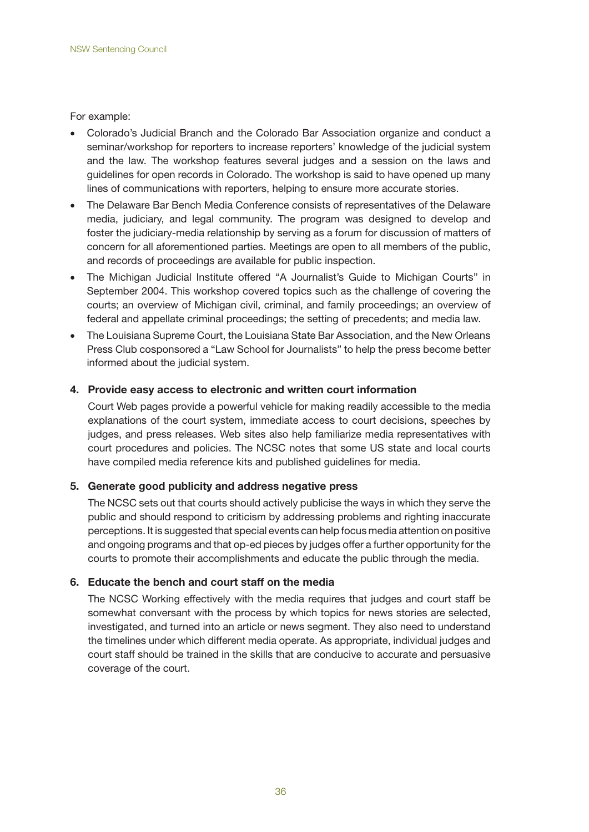For example:

- Colorado's Judicial Branch and the Colorado Bar Association organize and conduct a seminar/workshop for reporters to increase reporters' knowledge of the judicial system and the law. The workshop features several judges and a session on the laws and guidelines for open records in Colorado. The workshop is said to have opened up many lines of communications with reporters, helping to ensure more accurate stories.
- The Delaware Bar Bench Media Conference consists of representatives of the Delaware media, judiciary, and legal community. The program was designed to develop and foster the judiciary-media relationship by serving as a forum for discussion of matters of concern for all aforementioned parties. Meetings are open to all members of the public, and records of proceedings are available for public inspection.
- The Michigan Judicial Institute offered "A Journalist's Guide to Michigan Courts" in September 2004. This workshop covered topics such as the challenge of covering the courts; an overview of Michigan civil, criminal, and family proceedings; an overview of federal and appellate criminal proceedings; the setting of precedents; and media law.
- The Louisiana Supreme Court, the Louisiana State Bar Association, and the New Orleans Press Club cosponsored a "Law School for Journalists" to help the press become better informed about the judicial system.

#### **4. Provide easy access to electronic and written court information**

Court Web pages provide a powerful vehicle for making readily accessible to the media explanations of the court system, immediate access to court decisions, speeches by judges, and press releases. Web sites also help familiarize media representatives with court procedures and policies. The NCSC notes that some US state and local courts have compiled media reference kits and published guidelines for media.

#### **5. Generate good publicity and address negative press**

The NCSC sets out that courts should actively publicise the ways in which they serve the public and should respond to criticism by addressing problems and righting inaccurate perceptions. It is suggested that special events can help focus media attention on positive and ongoing programs and that op-ed pieces by judges offer a further opportunity for the courts to promote their accomplishments and educate the public through the media.

#### **6. Educate the bench and court staff on the media**

The NCSC Working effectively with the media requires that judges and court staff be somewhat conversant with the process by which topics for news stories are selected, investigated, and turned into an article or news segment. They also need to understand the timelines under which different media operate. As appropriate, individual judges and court staff should be trained in the skills that are conducive to accurate and persuasive coverage of the court.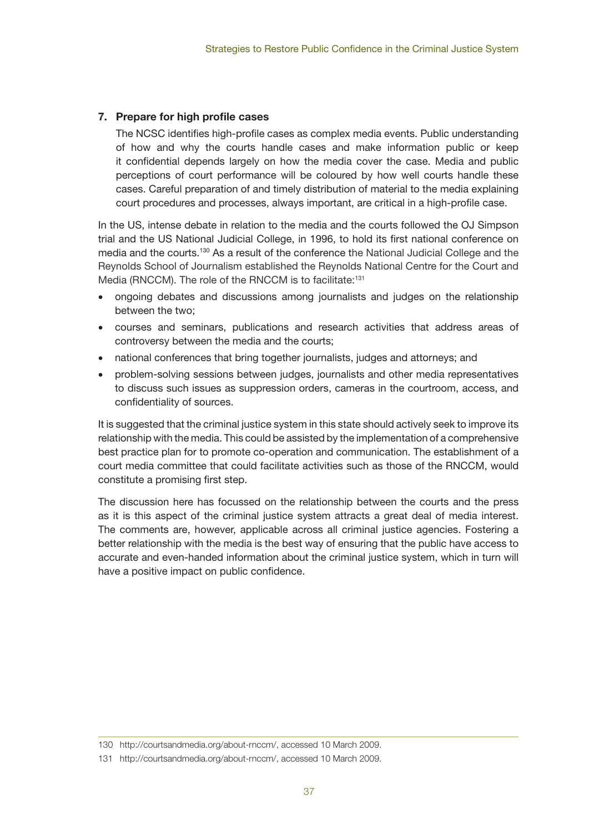## **7. Prepare for high profile cases**

The NCSC identifies high-profile cases as complex media events. Public understanding of how and why the courts handle cases and make information public or keep it confidential depends largely on how the media cover the case. Media and public perceptions of court performance will be coloured by how well courts handle these cases. Careful preparation of and timely distribution of material to the media explaining court procedures and processes, always important, are critical in a high-profile case.

In the US, intense debate in relation to the media and the courts followed the OJ Simpson trial and the US National Judicial College, in 1996, to hold its first national conference on media and the courts.130 As a result of the conference the National Judicial College and the Reynolds School of Journalism established the Reynolds National Centre for the Court and Media (RNCCM). The role of the RNCCM is to facilitate:<sup>131</sup>

- ongoing debates and discussions among journalists and judges on the relationship between the two;
- • courses and seminars, publications and research activities that address areas of controversy between the media and the courts;
- national conferences that bring together journalists, judges and attorneys; and
- problem-solving sessions between judges, journalists and other media representatives to discuss such issues as suppression orders, cameras in the courtroom, access, and confidentiality of sources.

It is suggested that the criminal justice system in this state should actively seek to improve its relationship with the media. This could be assisted by the implementation of a comprehensive best practice plan for to promote co-operation and communication. The establishment of a court media committee that could facilitate activities such as those of the RNCCM, would constitute a promising first step.

The discussion here has focussed on the relationship between the courts and the press as it is this aspect of the criminal justice system attracts a great deal of media interest. The comments are, however, applicable across all criminal justice agencies. Fostering a better relationship with the media is the best way of ensuring that the public have access to accurate and even-handed information about the criminal justice system, which in turn will have a positive impact on public confidence.

<sup>130</sup> http://courtsandmedia.org/about-rnccm/, accessed 10 March 2009.

<sup>131</sup> http://courtsandmedia.org/about-rnccm/, accessed 10 March 2009.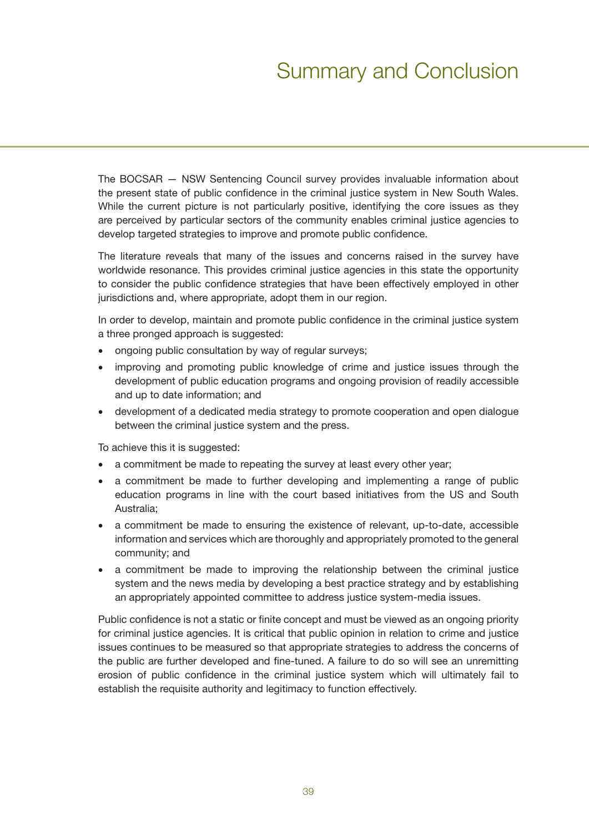# Summary and Conclusion

The BOCSAR — NSW Sentencing Council survey provides invaluable information about the present state of public confidence in the criminal justice system in New South Wales. While the current picture is not particularly positive, identifying the core issues as they are perceived by particular sectors of the community enables criminal justice agencies to develop targeted strategies to improve and promote public confidence.

The literature reveals that many of the issues and concerns raised in the survey have worldwide resonance. This provides criminal justice agencies in this state the opportunity to consider the public confidence strategies that have been effectively employed in other jurisdictions and, where appropriate, adopt them in our region.

In order to develop, maintain and promote public confidence in the criminal justice system a three pronged approach is suggested:

- ongoing public consultation by way of regular surveys;
- improving and promoting public knowledge of crime and justice issues through the development of public education programs and ongoing provision of readily accessible and up to date information; and
- development of a dedicated media strategy to promote cooperation and open dialogue between the criminal justice system and the press.

To achieve this it is suggested:

- a commitment be made to repeating the survey at least every other year;
- a commitment be made to further developing and implementing a range of public education programs in line with the court based initiatives from the US and South Australia;
- a commitment be made to ensuring the existence of relevant, up-to-date, accessible information and services which are thoroughly and appropriately promoted to the general community; and
- a commitment be made to improving the relationship between the criminal justice system and the news media by developing a best practice strategy and by establishing an appropriately appointed committee to address justice system-media issues.

Public confidence is not a static or finite concept and must be viewed as an ongoing priority for criminal justice agencies. It is critical that public opinion in relation to crime and justice issues continues to be measured so that appropriate strategies to address the concerns of the public are further developed and fine-tuned. A failure to do so will see an unremitting erosion of public confidence in the criminal justice system which will ultimately fail to establish the requisite authority and legitimacy to function effectively.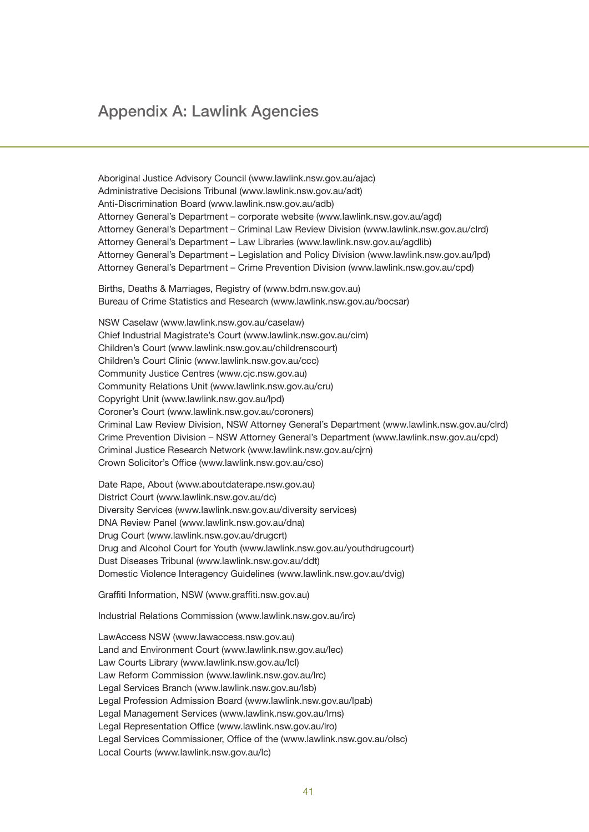## Appendix A: Lawlink Agencies

Aboriginal Justice Advisory Council (www.lawlink.nsw.gov.au/ajac) Administrative Decisions Tribunal (www.lawlink.nsw.gov.au/adt) Anti-Discrimination Board (www.lawlink.nsw.gov.au/adb) Attorney General's Department – corporate website (www.lawlink.nsw.gov.au/agd) Attorney General's Department – Criminal Law Review Division (www.lawlink.nsw.gov.au/clrd) Attorney General's Department – Law Libraries (www.lawlink.nsw.gov.au/agdlib) Attorney General's Department – Legislation and Policy Division (www.lawlink.nsw.gov.au/lpd) Attorney General's Department – Crime Prevention Division (www.lawlink.nsw.gov.au/cpd)

Births, Deaths & Marriages, Registry of (www.bdm.nsw.gov.au) Bureau of Crime Statistics and Research (www.lawlink.nsw.gov.au/bocsar)

NSW Caselaw (www.lawlink.nsw.gov.au/caselaw) Chief Industrial Magistrate's Court (www.lawlink.nsw.gov.au/cim) Children's Court (www.lawlink.nsw.gov.au/childrenscourt) Children's Court Clinic (www.lawlink.nsw.gov.au/ccc) Community Justice Centres (www.cjc.nsw.gov.au) Community Relations Unit (www.lawlink.nsw.gov.au/cru) Copyright Unit (www.lawlink.nsw.gov.au/lpd) Coroner's Court (www.lawlink.nsw.gov.au/coroners) Criminal Law Review Division, NSW Attorney General's Department (www.lawlink.nsw.gov.au/clrd) Crime Prevention Division – NSW Attorney General's Department (www.lawlink.nsw.gov.au/cpd) Criminal Justice Research Network (www.lawlink.nsw.gov.au/cjrn) Crown Solicitor's Office (www.lawlink.nsw.gov.au/cso)

Date Rape, About (www.aboutdaterape.nsw.gov.au) District Court (www.lawlink.nsw.gov.au/dc) Diversity Services (www.lawlink.nsw.gov.au/diversity services) DNA Review Panel (www.lawlink.nsw.gov.au/dna) Drug Court (www.lawlink.nsw.gov.au/drugcrt) Drug and Alcohol Court for Youth (www.lawlink.nsw.gov.au/youthdrugcourt) Dust Diseases Tribunal (www.lawlink.nsw.gov.au/ddt) Domestic Violence Interagency Guidelines (www.lawlink.nsw.gov.au/dvig)

Graffiti Information, NSW (www.graffiti.nsw.gov.au)

Industrial Relations Commission (www.lawlink.nsw.gov.au/irc)

LawAccess NSW (www.lawaccess.nsw.gov.au) Land and Environment Court (www.lawlink.nsw.gov.au/lec) Law Courts Library (www.lawlink.nsw.gov.au/lcl) Law Reform Commission (www.lawlink.nsw.gov.au/lrc) Legal Services Branch (www.lawlink.nsw.gov.au/lsb) Legal Profession Admission Board (www.lawlink.nsw.gov.au/lpab) Legal Management Services (www.lawlink.nsw.gov.au/lms) Legal Representation Office (www.lawlink.nsw.gov.au/lro) Legal Services Commissioner, Office of the (www.lawlink.nsw.gov.au/olsc) Local Courts (www.lawlink.nsw.gov.au/lc)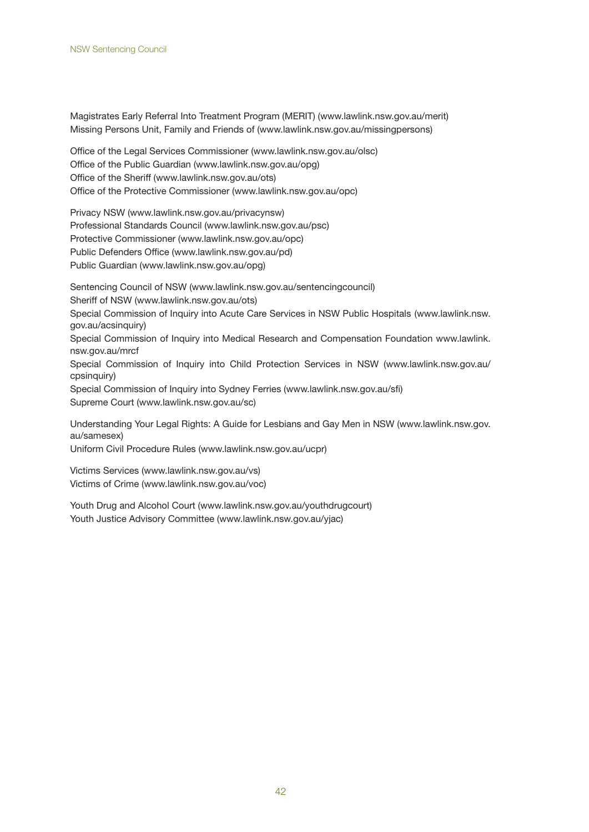Magistrates Early Referral Into Treatment Program (MERIT) (www.lawlink.nsw.gov.au/merit) Missing Persons Unit, Family and Friends of (www.lawlink.nsw.gov.au/missingpersons)

Office of the Legal Services Commissioner (www.lawlink.nsw.gov.au/olsc) Office of the Public Guardian (www.lawlink.nsw.gov.au/opg) Office of the Sheriff (www.lawlink.nsw.gov.au/ots) Office of the Protective Commissioner (www.lawlink.nsw.gov.au/opc)

Privacy NSW (www.lawlink.nsw.gov.au/privacynsw) Professional Standards Council (www.lawlink.nsw.gov.au/psc) Protective Commissioner (www.lawlink.nsw.gov.au/opc) Public Defenders Office (www.lawlink.nsw.gov.au/pd) Public Guardian (www.lawlink.nsw.gov.au/opg)

Sentencing Council of NSW (www.lawlink.nsw.gov.au/sentencingcouncil) Sheriff of NSW (www.lawlink.nsw.gov.au/ots) Special Commission of Inquiry into Acute Care Services in NSW Public Hospitals (www.lawlink.nsw. gov.au/acsinquiry) Special Commission of Inquiry into Medical Research and Compensation Foundation www.lawlink. nsw.gov.au/mrcf Special Commission of Inquiry into Child Protection Services in NSW (www.lawlink.nsw.gov.au/ cpsinquiry) Special Commission of Inquiry into Sydney Ferries (www.lawlink.nsw.gov.au/sfi) Supreme Court (www.lawlink.nsw.gov.au/sc) Understanding Your Legal Rights: A Guide for Lesbians and Gay Men in NSW (www.lawlink.nsw.gov.

au/samesex) Uniform Civil Procedure Rules (www.lawlink.nsw.gov.au/ucpr)

Victims Services (www.lawlink.nsw.gov.au/vs) Victims of Crime (www.lawlink.nsw.gov.au/voc)

Youth Drug and Alcohol Court (www.lawlink.nsw.gov.au/youthdrugcourt) Youth Justice Advisory Committee (www.lawlink.nsw.gov.au/yjac)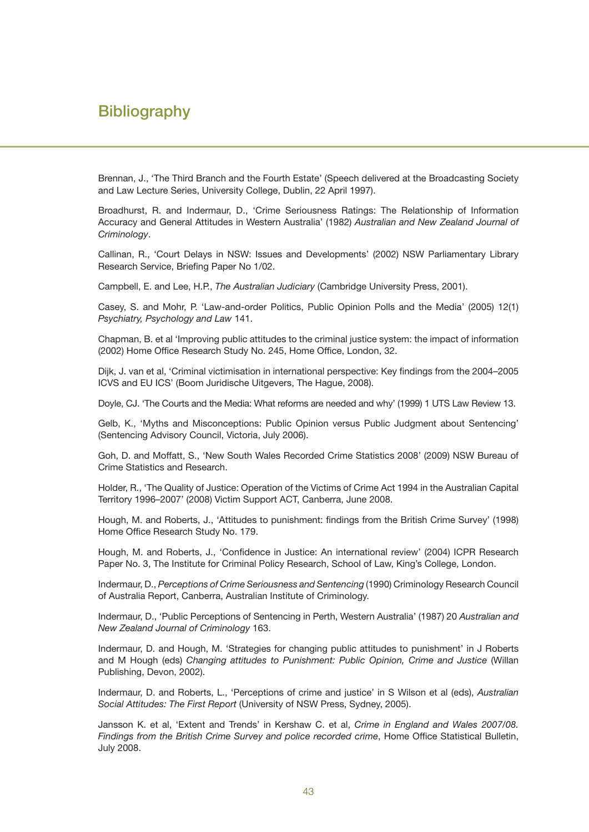## **Bibliography**

Brennan, J., 'The Third Branch and the Fourth Estate' (Speech delivered at the Broadcasting Society and Law Lecture Series, University College, Dublin, 22 April 1997).

Broadhurst, R. and Indermaur, D., 'Crime Seriousness Ratings: The Relationship of Information Accuracy and General Attitudes in Western Australia' (1982) *Australian and New Zealand Journal of Criminology*.

Callinan, R., 'Court Delays in NSW: Issues and Developments' (2002) NSW Parliamentary Library Research Service, Briefing Paper No 1/02.

Campbell, E. and Lee, H.P., *The Australian Judiciary* (Cambridge University Press, 2001).

Casey, S. and Mohr, P. 'Law-and-order Politics, Public Opinion Polls and the Media' (2005) 12(1) *Psychiatry, Psychology and Law* 141.

Chapman, B. et al 'Improving public attitudes to the criminal justice system: the impact of information (2002) Home Office Research Study No. 245, Home Office, London, 32.

Dijk, J. van et al, 'Criminal victimisation in international perspective: Key findings from the 2004–2005 ICVS and EU ICS' (Boom Juridische Uitgevers, The Hague, 2008).

Doyle, CJ. 'The Courts and the Media: What reforms are needed and why' (1999) 1 UTS Law Review 13.

Gelb, K., 'Myths and Misconceptions: Public Opinion versus Public Judgment about Sentencing' (Sentencing Advisory Council, Victoria, July 2006).

Goh, D. and Moffatt, S., 'New South Wales Recorded Crime Statistics 2008' (2009) NSW Bureau of Crime Statistics and Research.

Holder, R., 'The Quality of Justice: Operation of the Victims of Crime Act 1994 in the Australian Capital Territory 1996–2007' (2008) Victim Support ACT, Canberra, June 2008.

Hough, M. and Roberts, J., 'Attitudes to punishment: findings from the British Crime Survey' (1998) Home Office Research Study No. 179.

Hough, M. and Roberts, J., 'Confidence in Justice: An international review' (2004) ICPR Research Paper No. 3, The Institute for Criminal Policy Research, School of Law, King's College, London.

Indermaur, D., *Perceptions of Crime Seriousness and Sentencing* (1990) Criminology Research Council of Australia Report, Canberra, Australian Institute of Criminology.

Indermaur, D., 'Public Perceptions of Sentencing in Perth, Western Australia' (1987) 20 *Australian and New Zealand Journal of Criminology* 163.

Indermaur, D. and Hough, M. 'Strategies for changing public attitudes to punishment' in J Roberts and M Hough (eds) *Changing attitudes to Punishment: Public Opinion, Crime and Justice* (Willan Publishing, Devon, 2002).

Indermaur, D. and Roberts, L., 'Perceptions of crime and justice' in S Wilson et al (eds), *Australian Social Attitudes: The First Report* (University of NSW Press, Sydney, 2005).

Jansson K. et al, 'Extent and Trends' in Kershaw C. et al, *Crime in England and Wales 2007/08. Findings from the British Crime Survey and police recorded crime*, Home Office Statistical Bulletin, July 2008.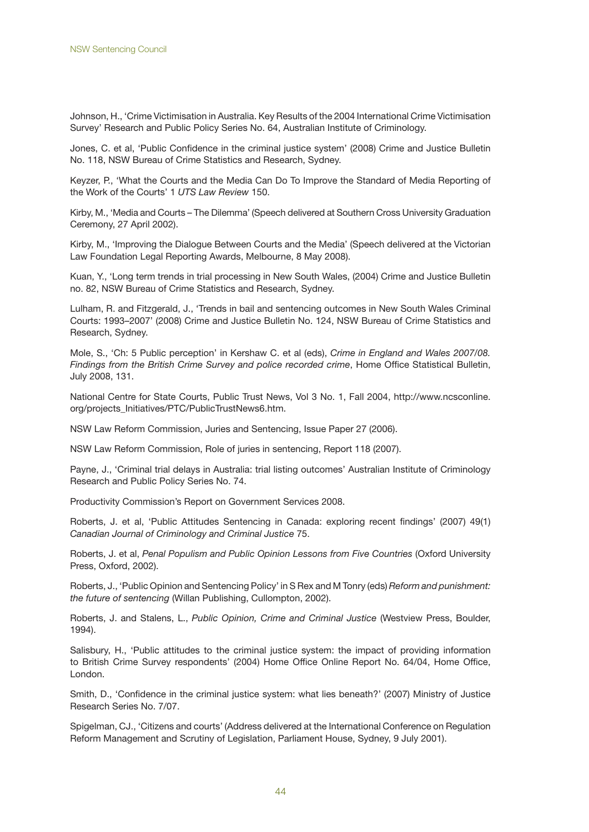Johnson, H., 'Crime Victimisation in Australia. Key Results of the 2004 International Crime Victimisation Survey' Research and Public Policy Series No. 64, Australian Institute of Criminology.

Jones, C. et al, 'Public Confidence in the criminal justice system' (2008) Crime and Justice Bulletin No. 118, NSW Bureau of Crime Statistics and Research, Sydney.

Keyzer, P., 'What the Courts and the Media Can Do To Improve the Standard of Media Reporting of the Work of the Courts' 1 *UTS Law Review* 150.

Kirby, M., 'Media and Courts – The Dilemma' (Speech delivered at Southern Cross University Graduation Ceremony, 27 April 2002).

Kirby, M., 'Improving the Dialogue Between Courts and the Media' (Speech delivered at the Victorian Law Foundation Legal Reporting Awards, Melbourne, 8 May 2008).

Kuan, Y., 'Long term trends in trial processing in New South Wales, (2004) Crime and Justice Bulletin no. 82, NSW Bureau of Crime Statistics and Research, Sydney.

Lulham, R. and Fitzgerald, J., 'Trends in bail and sentencing outcomes in New South Wales Criminal Courts: 1993–2007' (2008) Crime and Justice Bulletin No. 124, NSW Bureau of Crime Statistics and Research, Sydney.

Mole, S., 'Ch: 5 Public perception' in Kershaw C. et al (eds), *Crime in England and Wales 2007/08. Findings from the British Crime Survey and police recorded crime*, Home Office Statistical Bulletin, July 2008, 131.

National Centre for State Courts, Public Trust News, Vol 3 No. 1, Fall 2004, http://www.ncsconline. org/projects\_Initiatives/PTC/PublicTrustNews6.htm.

NSW Law Reform Commission, Juries and Sentencing, Issue Paper 27 (2006).

NSW Law Reform Commission, Role of juries in sentencing, Report 118 (2007).

Payne, J., 'Criminal trial delays in Australia: trial listing outcomes' Australian Institute of Criminology Research and Public Policy Series No. 74.

Productivity Commission's Report on Government Services 2008.

Roberts, J. et al, 'Public Attitudes Sentencing in Canada: exploring recent findings' (2007) 49(1) *Canadian Journal of Criminology and Criminal Justice* 75.

Roberts, J. et al, *Penal Populism and Public Opinion Lessons from Five Countries* (Oxford University Press, Oxford, 2002).

Roberts, J., 'Public Opinion and Sentencing Policy' in S Rex and M Tonry (eds) *Reform and punishment: the future of sentencing* (Willan Publishing, Cullompton, 2002).

Roberts, J. and Stalens, L., *Public Opinion, Crime and Criminal Justice* (Westview Press, Boulder, 1994).

Salisbury, H., 'Public attitudes to the criminal justice system: the impact of providing information to British Crime Survey respondents' (2004) Home Office Online Report No. 64/04, Home Office, London.

Smith, D., 'Confidence in the criminal justice system: what lies beneath?' (2007) Ministry of Justice Research Series No. 7/07.

Spigelman, CJ., 'Citizens and courts' (Address delivered at the International Conference on Regulation Reform Management and Scrutiny of Legislation, Parliament House, Sydney, 9 July 2001).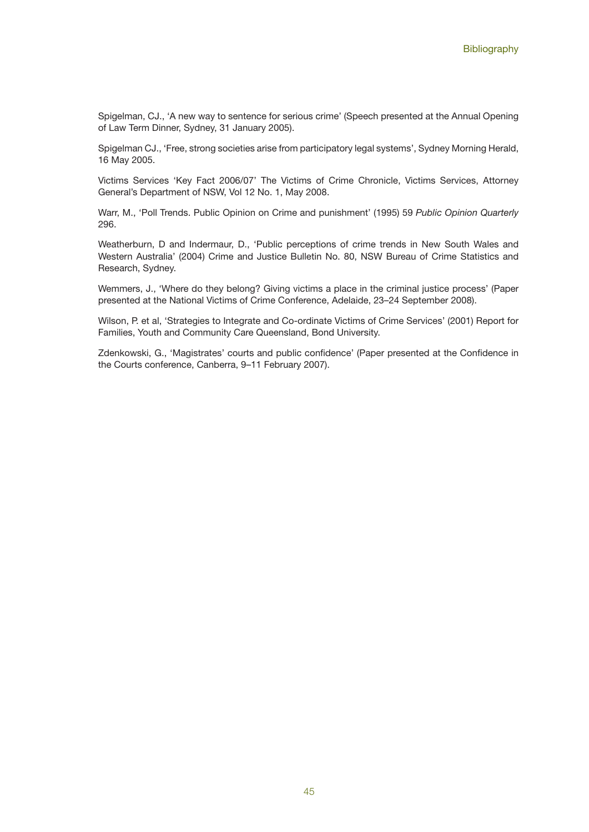Spigelman, CJ., 'A new way to sentence for serious crime' (Speech presented at the Annual Opening of Law Term Dinner, Sydney, 31 January 2005).

Spigelman CJ., 'Free, strong societies arise from participatory legal systems', Sydney Morning Herald, 16 May 2005.

Victims Services 'Key Fact 2006/07' The Victims of Crime Chronicle, Victims Services, Attorney General's Department of NSW, Vol 12 No. 1, May 2008.

Warr, M., 'Poll Trends. Public Opinion on Crime and punishment' (1995) 59 *Public Opinion Quarterly* 296.

Weatherburn, D and Indermaur, D., 'Public perceptions of crime trends in New South Wales and Western Australia' (2004) Crime and Justice Bulletin No. 80, NSW Bureau of Crime Statistics and Research, Sydney.

Wemmers, J., 'Where do they belong? Giving victims a place in the criminal justice process' (Paper presented at the National Victims of Crime Conference, Adelaide, 23–24 September 2008).

Wilson, P. et al, 'Strategies to Integrate and Co-ordinate Victims of Crime Services' (2001) Report for Families, Youth and Community Care Queensland, Bond University.

Zdenkowski, G., 'Magistrates' courts and public confidence' (Paper presented at the Confidence in the Courts conference, Canberra, 9–11 February 2007).